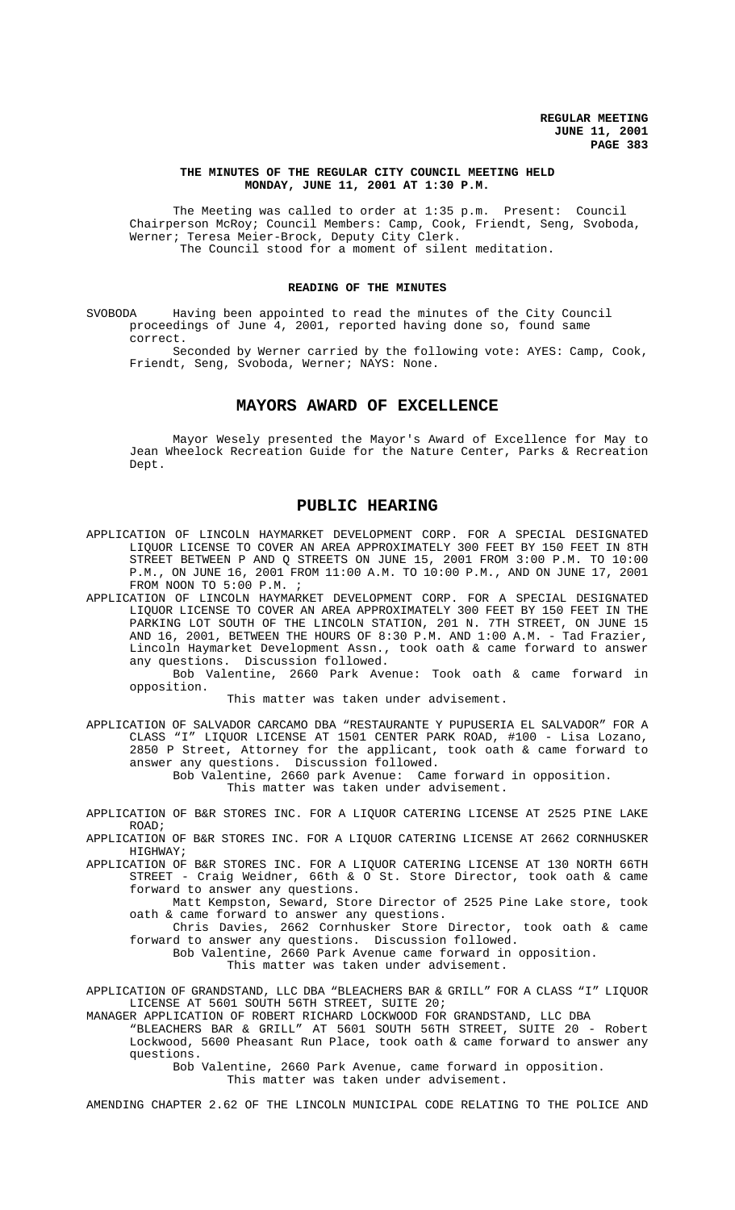### **THE MINUTES OF THE REGULAR CITY COUNCIL MEETING HELD MONDAY, JUNE 11, 2001 AT 1:30 P.M.**

The Meeting was called to order at 1:35 p.m. Present: Council Chairperson McRoy; Council Members: Camp, Cook, Friendt, Seng, Svoboda, Werner; Teresa Meier-Brock, Deputy City Clerk. The Council stood for a moment of silent meditation.

### **READING OF THE MINUTES**

SVOBODA Having been appointed to read the minutes of the City Council proceedings of June 4, 2001, reported having done so, found same correct.

Seconded by Werner carried by the following vote: AYES: Camp, Cook, Friendt, Seng, Svoboda, Werner; NAYS: None.

# **MAYORS AWARD OF EXCELLENCE**

Mayor Wesely presented the Mayor's Award of Excellence for May to Jean Wheelock Recreation Guide for the Nature Center, Parks & Recreation Dept.

# **PUBLIC HEARING**

APPLICATION OF LINCOLN HAYMARKET DEVELOPMENT CORP. FOR A SPECIAL DESIGNATED LIQUOR LICENSE TO COVER AN AREA APPROXIMATELY 300 FEET BY 150 FEET IN 8TH STREET BETWEEN P AND Q STREETS ON JUNE 15, 2001 FROM 3:00 P.M. TO 10:00 P.M., ON JUNE 16, 2001 FROM 11:00 A.M. TO 10:00 P.M., AND ON JUNE 17, 2001 FROM NOON TO 5:00 P.M. ;

APPLICATION OF LINCOLN HAYMARKET DEVELOPMENT CORP. FOR A SPECIAL DESIGNATED LIQUOR LICENSE TO COVER AN AREA APPROXIMATELY 300 FEET BY 150 FEET IN THE PARKING LOT SOUTH OF THE LINCOLN STATION, 201 N. 7TH STREET, ON JUNE 15 AND 16, 2001, BETWEEN THE HOURS OF 8:30 P.M. AND 1:00 A.M. - Tad Frazier, Lincoln Haymarket Development Assn., took oath & came forward to answer any questions. Discussion followed.

Bob Valentine, 2660 Park Avenue: Took oath & came forward in opposition.

This matter was taken under advisement.

APPLICATION OF SALVADOR CARCAMO DBA "RESTAURANTE Y PUPUSERIA EL SALVADOR" FOR A CLASS "I" LIQUOR LICENSE AT 1501 CENTER PARK ROAD, #100 - Lisa Lozano, 2850 P Street, Attorney for the applicant, took oath & came forward to answer any questions. Discussion followed.

Bob Valentine, 2660 park Avenue: Came forward in opposition. This matter was taken under advisement.

APPLICATION OF B&R STORES INC. FOR A LIQUOR CATERING LICENSE AT 2525 PINE LAKE ROAD;

APPLICATION OF B&R STORES INC. FOR A LIQUOR CATERING LICENSE AT 2662 CORNHUSKER HIGHWAY;

APPLICATION OF B&R STORES INC. FOR A LIQUOR CATERING LICENSE AT 130 NORTH 66TH STREET - Craig Weidner, 66th & O St. Store Director, took oath & came forward to answer any questions.

Matt Kempston, Seward, Store Director of 2525 Pine Lake store, took oath & came forward to answer any questions.

Chris Davies, 2662 Cornhusker Store Director, took oath & came forward to answer any questions. Discussion followed.

Bob Valentine, 2660 Park Avenue came forward in opposition.

This matter was taken under advisement.

APPLICATION OF GRANDSTAND, LLC DBA "BLEACHERS BAR & GRILL" FOR A CLASS "I" LIQUOR LICENSE AT 5601 SOUTH 56TH STREET, SUITE 20;

MANAGER APPLICATION OF ROBERT RICHARD LOCKWOOD FOR GRANDSTAND, LLC DBA

"BLEACHERS BAR & GRILL" AT 5601 SOUTH 56TH STREET, SUITE 20 - Robert Lockwood, 5600 Pheasant Run Place, took oath & came forward to answer any questions.

Bob Valentine, 2660 Park Avenue, came forward in opposition.

This matter was taken under advisement.

AMENDING CHAPTER 2.62 OF THE LINCOLN MUNICIPAL CODE RELATING TO THE POLICE AND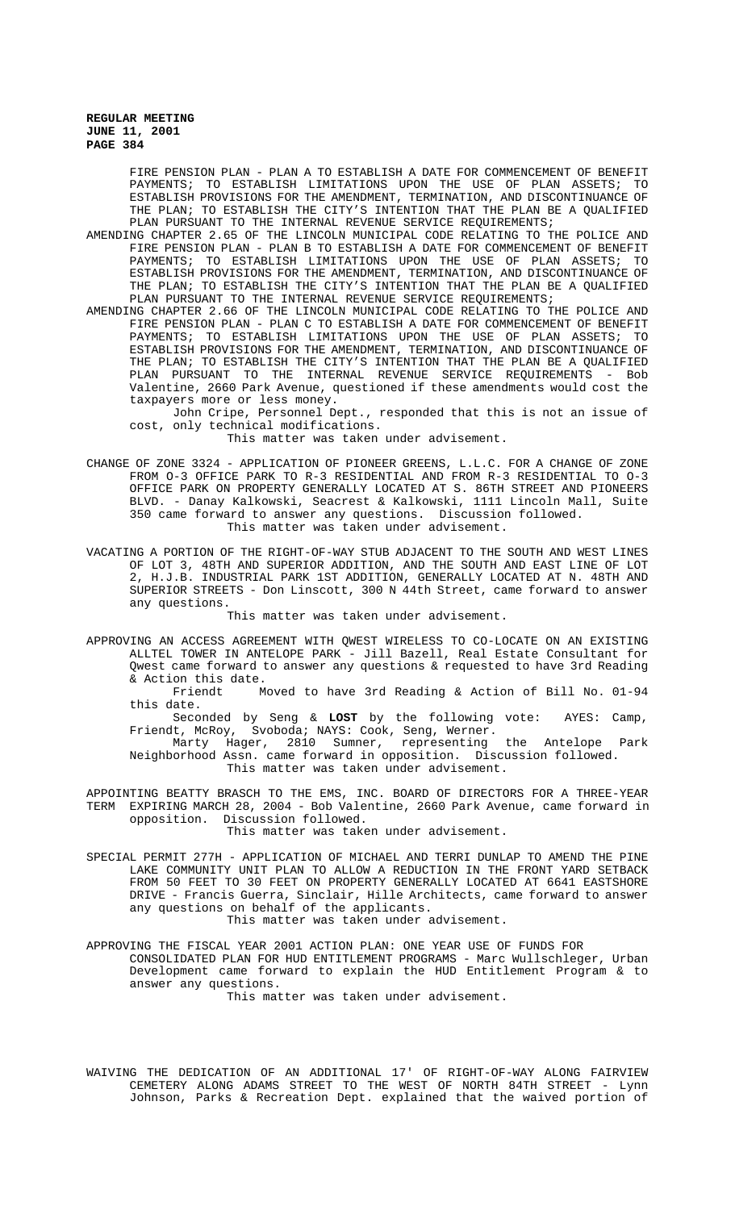> FIRE PENSION PLAN - PLAN A TO ESTABLISH A DATE FOR COMMENCEMENT OF BENEFIT PAYMENTS; TO ESTABLISH LIMITATIONS UPON THE USE OF PLAN ASSETS; TO ESTABLISH PROVISIONS FOR THE AMENDMENT, TERMINATION, AND DISCONTINUANCE OF THE PLAN; TO ESTABLISH THE CITY'S INTENTION THAT THE PLAN BE A QUALIFIED PLAN PURSUANT TO THE INTERNAL REVENUE SERVICE REQUIREMENTS;

- AMENDING CHAPTER 2.65 OF THE LINCOLN MUNICIPAL CODE RELATING TO THE POLICE AND FIRE PENSION PLAN - PLAN B TO ESTABLISH A DATE FOR COMMENCEMENT OF BENEFIT PAYMENTS; TO ESTABLISH LIMITATIONS UPON THE USE OF PLAN ASSETS; TO ESTABLISH PROVISIONS FOR THE AMENDMENT, TERMINATION, AND DISCONTINUANCE OF THE PLAN; TO ESTABLISH THE CITY'S INTENTION THAT THE PLAN BE A QUALIFIED PLAN PURSUANT TO THE INTERNAL REVENUE SERVICE REQUIREMENTS;
- AMENDING CHAPTER 2.66 OF THE LINCOLN MUNICIPAL CODE RELATING TO THE POLICE AND FIRE PENSION PLAN - PLAN C TO ESTABLISH A DATE FOR COMMENCEMENT OF BENEFIT PAYMENTS; TO ESTABLISH LIMITATIONS UPON THE USE OF PLAN ASSETS; TO ESTABLISH PROVISIONS FOR THE AMENDMENT, TERMINATION, AND DISCONTINUANCE OF THE PLAN; TO ESTABLISH THE CITY'S INTENTION THAT THE PLAN BE A QUALIFIED PLAN PURSUANT TO THE INTERNAL REVENUE SERVICE REQUIREMENTS - Bob Valentine, 2660 Park Avenue, questioned if these amendments would cost the taxpayers more or less money.

John Cripe, Personnel Dept., responded that this is not an issue of cost, only technical modifications.

This matter was taken under advisement.

CHANGE OF ZONE 3324 - APPLICATION OF PIONEER GREENS, L.L.C. FOR A CHANGE OF ZONE FROM O-3 OFFICE PARK TO R-3 RESIDENTIAL AND FROM R-3 RESIDENTIAL TO O-3 OFFICE PARK ON PROPERTY GENERALLY LOCATED AT S. 86TH STREET AND PIONEERS BLVD. - Danay Kalkowski, Seacrest & Kalkowski, 1111 Lincoln Mall, Suite 350 came forward to answer any questions. Discussion followed.

This matter was taken under advisement.

VACATING A PORTION OF THE RIGHT-OF-WAY STUB ADJACENT TO THE SOUTH AND WEST LINES OF LOT 3, 48TH AND SUPERIOR ADDITION, AND THE SOUTH AND EAST LINE OF LOT 2, H.J.B. INDUSTRIAL PARK 1ST ADDITION, GENERALLY LOCATED AT N. 48TH AND SUPERIOR STREETS - Don Linscott, 300 N 44th Street, came forward to answer any questions.

This matter was taken under advisement.

APPROVING AN ACCESS AGREEMENT WITH QWEST WIRELESS TO CO-LOCATE ON AN EXISTING ALLTEL TOWER IN ANTELOPE PARK - Jill Bazell, Real Estate Consultant for Owest came forward to answer any questions  $\&$  requested to have 3rd Reading & Action this date.<br>Friendt M

Moved to have 3rd Reading & Action of Bill No. 01-94 this date.

Seconded by Seng & **LOST** by the following vote: AYES: Camp, Friendt, McRoy, Svoboda; NAYS: Cook, Seng, Werner.

Marty Hager, 2810 Sumner, representing the Antelope Park Neighborhood Assn. came forward in opposition. Discussion followed. This matter was taken under advisement.

APPOINTING BEATTY BRASCH TO THE EMS, INC. BOARD OF DIRECTORS FOR A THREE-YEAR TERM EXPIRING MARCH 28, 2004 - Bob Valentine, 2660 Park Avenue, came forward in opposition. Discussion followed.

This matter was taken under advisement.

- SPECIAL PERMIT 277H APPLICATION OF MICHAEL AND TERRI DUNLAP TO AMEND THE PINE LAKE COMMUNITY UNIT PLAN TO ALLOW A REDUCTION IN THE FRONT YARD SETBACK FROM 50 FEET TO 30 FEET ON PROPERTY GENERALLY LOCATED AT 6641 EASTSHORE DRIVE - Francis Guerra, Sinclair, Hille Architects, came forward to answer any questions on behalf of the applicants. This matter was taken under advisement.
- APPROVING THE FISCAL YEAR 2001 ACTION PLAN: ONE YEAR USE OF FUNDS FOR CONSOLIDATED PLAN FOR HUD ENTITLEMENT PROGRAMS - Marc Wullschleger, Urban Development came forward to explain the HUD Entitlement Program & to answer any questions. This matter was taken under advisement.

WAIVING THE DEDICATION OF AN ADDITIONAL 17' OF RIGHT-OF-WAY ALONG FAIRVIEW CEMETERY ALONG ADAMS STREET TO THE WEST OF NORTH 84TH STREET - Lynn Johnson, Parks & Recreation Dept. explained that the waived portion of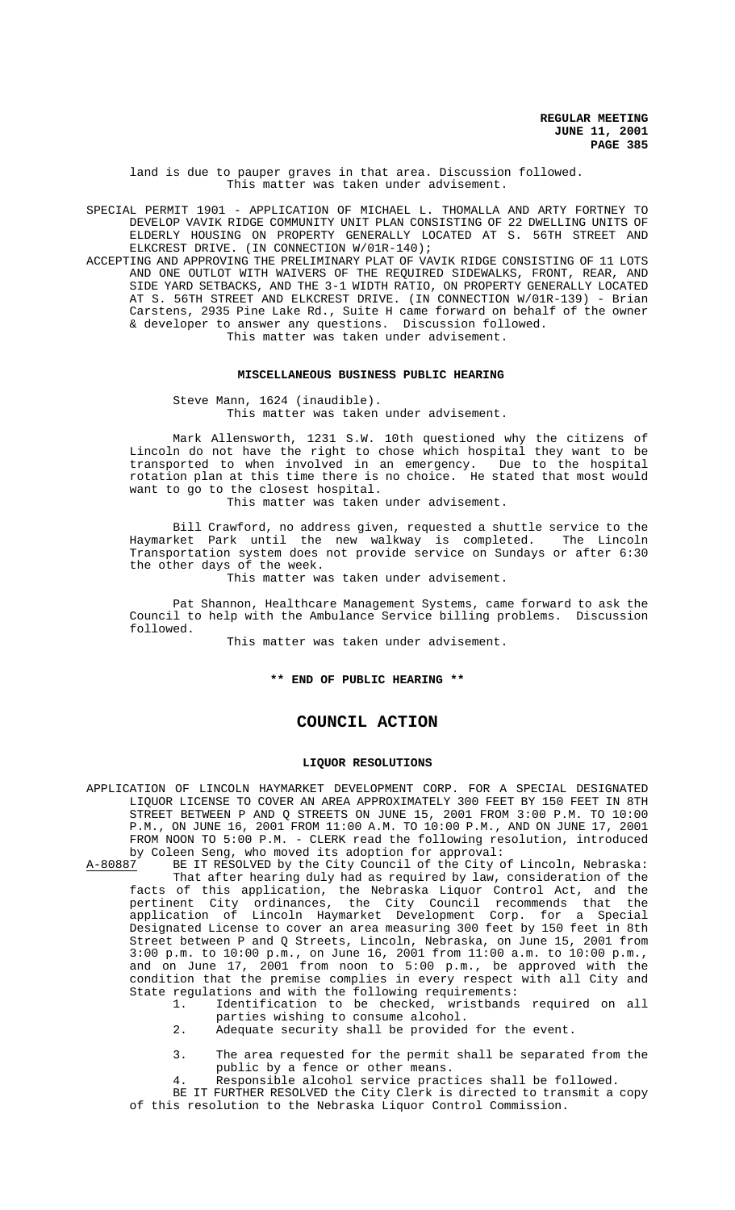land is due to pauper graves in that area. Discussion followed. This matter was taken under advisement.

SPECIAL PERMIT 1901 - APPLICATION OF MICHAEL L. THOMALLA AND ARTY FORTNEY TO DEVELOP VAVIK RIDGE COMMUNITY UNIT PLAN CONSISTING OF 22 DWELLING UNITS OF ELDERLY HOUSING ON PROPERTY GENERALLY LOCATED AT S. 56TH STREET AND ELKCREST DRIVE. (IN CONNECTION W/01R-140);

ACCEPTING AND APPROVING THE PRELIMINARY PLAT OF VAVIK RIDGE CONSISTING OF 11 LOTS AND ONE OUTLOT WITH WAIVERS OF THE REQUIRED SIDEWALKS, FRONT, REAR, AND SIDE YARD SETBACKS, AND THE 3-1 WIDTH RATIO, ON PROPERTY GENERALLY LOCATED AT S. 56TH STREET AND ELKCREST DRIVE. (IN CONNECTION W/01R-139) - Brian Carstens, 2935 Pine Lake Rd., Suite H came forward on behalf of the owner & developer to answer any questions. Discussion followed. This matter was taken under advisement.

## **MISCELLANEOUS BUSINESS PUBLIC HEARING**

Steve Mann, 1624 (inaudible). This matter was taken under advisement.

Mark Allensworth, 1231 S.W. 10th questioned why the citizens of Lincoln do not have the right to chose which hospital they want to be transported to when involved in an emergency. Due to the hospital rotation plan at this time there is no choice. He stated that most would want to go to the closest hospital.

This matter was taken under advisement.

Bill Crawford, no address given, requested a shuttle service to the Haymarket Park until the new walkway is completed. The Lincoln Transportation system does not provide service on Sundays or after 6:30 the other days of the week.

This matter was taken under advisement.

Pat Shannon, Healthcare Management Systems, came forward to ask the Council to help with the Ambulance Service billing problems. Discussion followed.

This matter was taken under advisement.

**\*\* END OF PUBLIC HEARING \*\***

# **COUNCIL ACTION**

### **LIQUOR RESOLUTIONS**

- APPLICATION OF LINCOLN HAYMARKET DEVELOPMENT CORP. FOR A SPECIAL DESIGNATED LIQUOR LICENSE TO COVER AN AREA APPROXIMATELY 300 FEET BY 150 FEET IN 8TH STREET BETWEEN P AND Q STREETS ON JUNE 15, 2001 FROM 3:00 P.M. TO 10:00 P.M., ON JUNE 16, 2001 FROM 11:00 A.M. TO 10:00 P.M., AND ON JUNE 17, 2001 FROM NOON TO 5:00 P.M. - CLERK read the following resolution, introduced by Coleen Seng, who moved its adoption for approval:<br>A-80887 BE IT RESOLVED by the City Council of the City o
- BE IT RESOLVED by the City Council of the City of Lincoln, Nebraska: That after hearing duly had as required by law, consideration of the facts of this application, the Nebraska Liquor Control Act, and the pertinent City ordinances, the City Council recommends that the application of Lincoln Haymarket Development Corp. for a Special Designated License to cover an area measuring 300 feet by 150 feet in 8th Street between P and Q Streets, Lincoln, Nebraska, on June 15, 2001 from 3:00 p.m. to 10:00 p.m., on June 16, 2001 from 11:00 a.m. to 10:00 p.m., and on June 17, 2001 from noon to 5:00 p.m., be approved with the condition that the premise complies in every respect with all City and State regulations and with the following requirements:
	- 1. Identification to be checked, wristbands required on all parties wishing to consume alcohol.
		- 2. Adequate security shall be provided for the event.
		- 3. The area requested for the permit shall be separated from the public by a fence or other means.
		- 4. Responsible alcohol service practices shall be followed.

BE IT FURTHER RESOLVED the City Clerk is directed to transmit a copy of this resolution to the Nebraska Liquor Control Commission.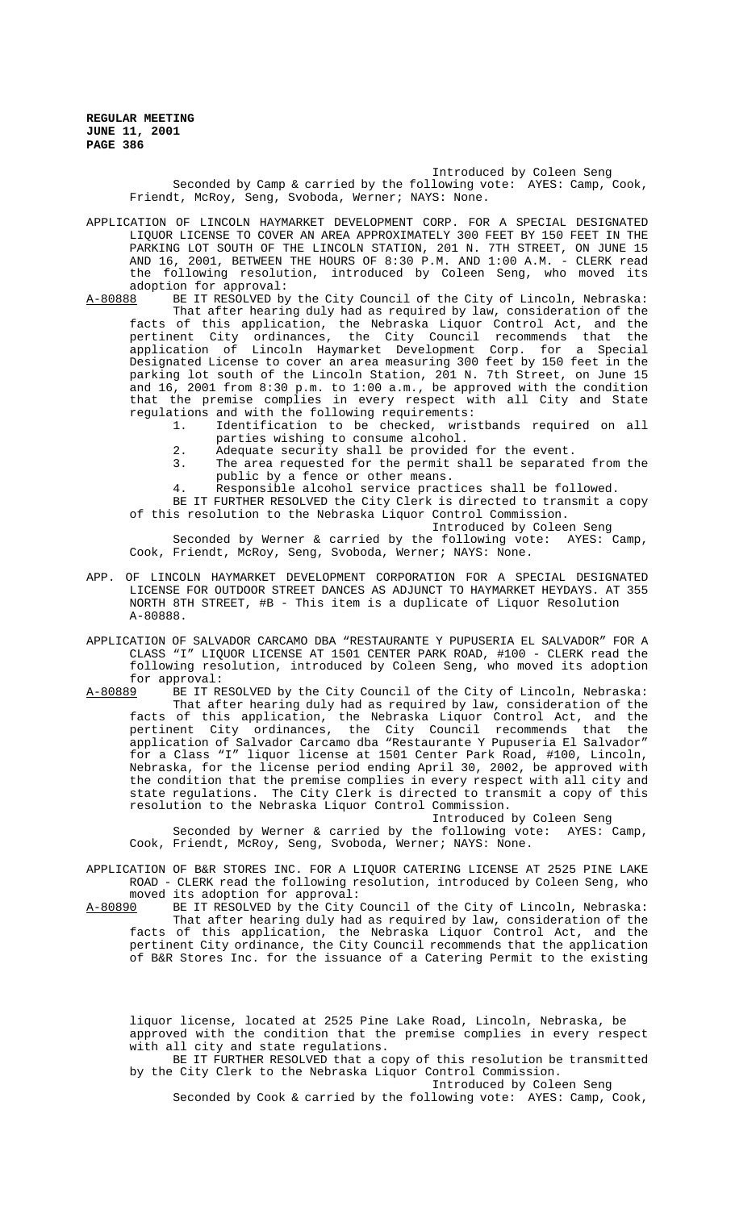Introduced by Coleen Seng Seconded by Camp & carried by the following vote: AYES: Camp, Cook, Friendt, McRoy, Seng, Svoboda, Werner; NAYS: None.

- APPLICATION OF LINCOLN HAYMARKET DEVELOPMENT CORP. FOR A SPECIAL DESIGNATED LIQUOR LICENSE TO COVER AN AREA APPROXIMATELY 300 FEET BY 150 FEET IN THE PARKING LOT SOUTH OF THE LINCOLN STATION, 201 N. 7TH STREET, ON JUNE 15 AND 16, 2001, BETWEEN THE HOURS OF 8:30 P.M. AND 1:00 A.M. - CLERK read the following resolution, introduced by Coleen Seng, who moved its adoption for approval:<br>A-80888 BE IT RESOLVED by
- BE IT RESOLVED by the City Council of the City of Lincoln, Nebraska: That after hearing duly had as required by law, consideration of the facts of this application, the Nebraska Liquor Control Act, and the pertinent City ordinances, the City Council recommends that the application of Lincoln Haymarket Development Corp. for a Special Designated License to cover an area measuring 300 feet by 150 feet in the parking lot south of the Lincoln Station, 201 N. 7th Street, on June 15 and 16, 2001 from 8:30 p.m. to 1:00 a.m., be approved with the condition that the premise complies in every respect with all City and State regulations and with the following requirements:
	- 1. Identification to be checked, wristbands required on all parties wishing to consume alcohol.
	- 2. Adequate security shall be provided for the event.<br>3. The area requested for the permit shall be separate
		- The area requested for the permit shall be separated from the public by a fence or other means.
	- 4. Responsible alcohol service practices shall be followed.
	- BE IT FURTHER RESOLVED the City Clerk is directed to transmit a copy
	- of this resolution to the Nebraska Liquor Control Commission. Introduced by Coleen Seng

Seconded by Werner & carried by the following vote: AYES: Camp, Cook, Friendt, McRoy, Seng, Svoboda, Werner; NAYS: None.

- APP. OF LINCOLN HAYMARKET DEVELOPMENT CORPORATION FOR A SPECIAL DESIGNATED LICENSE FOR OUTDOOR STREET DANCES AS ADJUNCT TO HAYMARKET HEYDAYS. AT 355 NORTH 8TH STREET, #B - This item is a duplicate of Liquor Resolution A-80888.
- APPLICATION OF SALVADOR CARCAMO DBA "RESTAURANTE Y PUPUSERIA EL SALVADOR" FOR A CLASS "I" LIQUOR LICENSE AT 1501 CENTER PARK ROAD, #100 - CLERK read the following resolution, introduced by Coleen Seng, who moved its adoption for approval:
- A-80889 BE IT RESOLVED by the City Council of the City of Lincoln, Nebraska: That after hearing duly had as required by law, consideration of the facts of this application, the Nebraska Liquor Control Act, and the pertinent City ordinances, the City Council recommends that the application of Salvador Carcamo dba "Restaurante Y Pupuseria El Salvador" for a Class "I" liquor license at 1501 Center Park Road, #100, Lincoln, Nebraska, for the license period ending April 30, 2002, be approved with the condition that the premise complies in every respect with all city and state regulations. The City Clerk is directed to transmit a copy of this resolution to the Nebraska Liquor Control Commission.

### Introduced by Coleen Seng

Seconded by Werner & carried by the following vote: AYES: Camp, Cook, Friendt, McRoy, Seng, Svoboda, Werner; NAYS: None.

APPLICATION OF B&R STORES INC. FOR A LIQUOR CATERING LICENSE AT 2525 PINE LAKE ROAD - CLERK read the following resolution, introduced by Coleen Seng, who moved its adoption for approval:<br>A-80890 BE IT RESOLVED by the City

BE IT RESOLVED by the City Council of the City of Lincoln, Nebraska: That after hearing duly had as required by law, consideration of the facts of this application, the Nebraska Liquor Control Act, and the pertinent City ordinance, the City Council recommends that the application of B&R Stores Inc. for the issuance of a Catering Permit to the existing

liquor license, located at 2525 Pine Lake Road, Lincoln, Nebraska, be approved with the condition that the premise complies in every respect with all city and state regulations.

BE IT FURTHER RESOLVED that a copy of this resolution be transmitted by the City Clerk to the Nebraska Liquor Control Commission.

Introduced by Coleen Seng Seconded by Cook & carried by the following vote: AYES: Camp, Cook,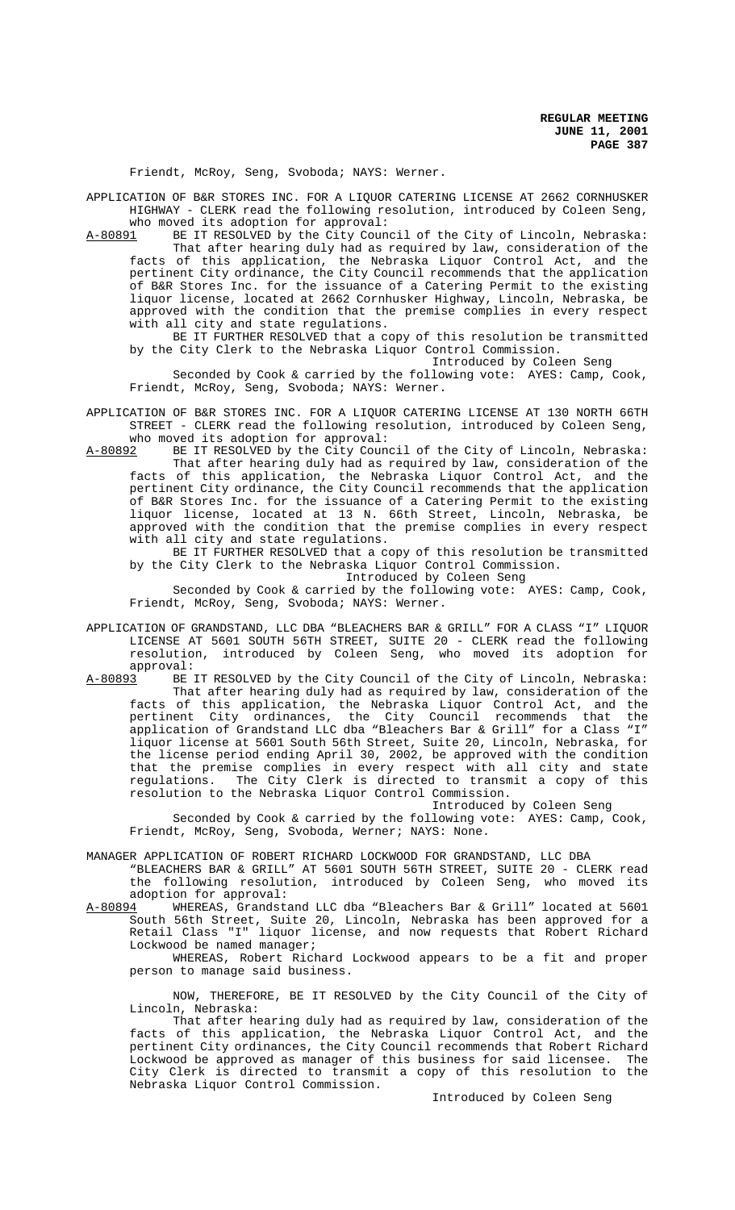Friendt, McRoy, Seng, Svoboda; NAYS: Werner.

APPLICATION OF B&R STORES INC. FOR A LIQUOR CATERING LICENSE AT 2662 CORNHUSKER HIGHWAY - CLERK read the following resolution, introduced by Coleen Seng, who moved its adoption for approval:

A-80891 BE IT RESOLVED by the City Council of the City of Lincoln, Nebraska: That after hearing duly had as required by law, consideration of the facts of this application, the Nebraska Liquor Control Act, and the pertinent City ordinance, the City Council recommends that the application of B&R Stores Inc. for the issuance of a Catering Permit to the existing liquor license, located at 2662 Cornhusker Highway, Lincoln, Nebraska, be approved with the condition that the premise complies in every respect with all city and state regulations.

BE IT FURTHER RESOLVED that a copy of this resolution be transmitted by the City Clerk to the Nebraska Liquor Control Commission.

Introduced by Coleen Seng

Seconded by Cook & carried by the following vote: AYES: Camp, Cook, Friendt, McRoy, Seng, Svoboda; NAYS: Werner.

APPLICATION OF B&R STORES INC. FOR A LIQUOR CATERING LICENSE AT 130 NORTH 66TH STREET - CLERK read the following resolution, introduced by Coleen Seng,

who moved its adoption for approval:<br>A-80892 BE IT RESOLVED by the City Coun-BE IT RESOLVED by the City Council of the City of Lincoln, Nebraska: That after hearing duly had as required by law, consideration of the facts of this application, the Nebraska Liquor Control Act, and the pertinent City ordinance, the City Council recommends that the application of B&R Stores Inc. for the issuance of a Catering Permit to the existing liquor license, located at 13 N. 66th Street, Lincoln, Nebraska, be approved with the condition that the premise complies in every respect with all city and state regulations.

BE IT FURTHER RESOLVED that a copy of this resolution be transmitted by the City Clerk to the Nebraska Liquor Control Commission.

Introduced by Coleen Seng

Seconded by Cook & carried by the following vote: AYES: Camp, Cook, Friendt, McRoy, Seng, Svoboda; NAYS: Werner.

APPLICATION OF GRANDSTAND, LLC DBA "BLEACHERS BAR & GRILL" FOR A CLASS "I" LIQUOR LICENSE AT 5601 SOUTH 56TH STREET, SUITE 20 - CLERK read the following resolution, introduced by Coleen Seng, who moved its adoption for approval:

A-80893 BE IT RESOLVED by the City Council of the City of Lincoln, Nebraska: That after hearing duly had as required by law, consideration of the facts of this application, the Nebraska Liquor Control Act, and the pertinent City ordinances, the City Council recommends that the application of Grandstand LLC dba "Bleachers Bar & Grill" for a Class "I" liquor license at 5601 South 56th Street, Suite 20, Lincoln, Nebraska, for the license period ending April 30, 2002, be approved with the condition that the premise complies in every respect with all city and state regulations. The City Clerk is directed to transmit a copy of this resolution to the Nebraska Liquor Control Commission.

### Introduced by Coleen Seng

Seconded by Cook & carried by the following vote: AYES: Camp, Cook, Friendt, McRoy, Seng, Svoboda, Werner; NAYS: None.

MANAGER APPLICATION OF ROBERT RICHARD LOCKWOOD FOR GRANDSTAND, LLC DBA

"BLEACHERS BAR & GRILL" AT 5601 SOUTH 56TH STREET, SUITE 20 - CLERK read the following resolution, introduced by Coleen Seng, who moved its

adoption for approval:<br>A-80894 WHEREAS, Grandsta WHEREAS, Grandstand LLC dba "Bleachers Bar & Grill" located at 5601 South 56th Street, Suite 20, Lincoln, Nebraska has been approved for a Retail Class "I" liquor license, and now requests that Robert Richard Lockwood be named manager;

WHEREAS, Robert Richard Lockwood appears to be a fit and proper person to manage said business.

NOW, THEREFORE, BE IT RESOLVED by the City Council of the City of Lincoln, Nebraska:

That after hearing duly had as required by law, consideration of the facts of this application, the Nebraska Liquor Control Act, and the pertinent City ordinances, the City Council recommends that Robert Richard Lockwood be approved as manager of this business for said licensee. The City Clerk is directed to transmit a copy of this resolution to the Nebraska Liquor Control Commission.

Introduced by Coleen Seng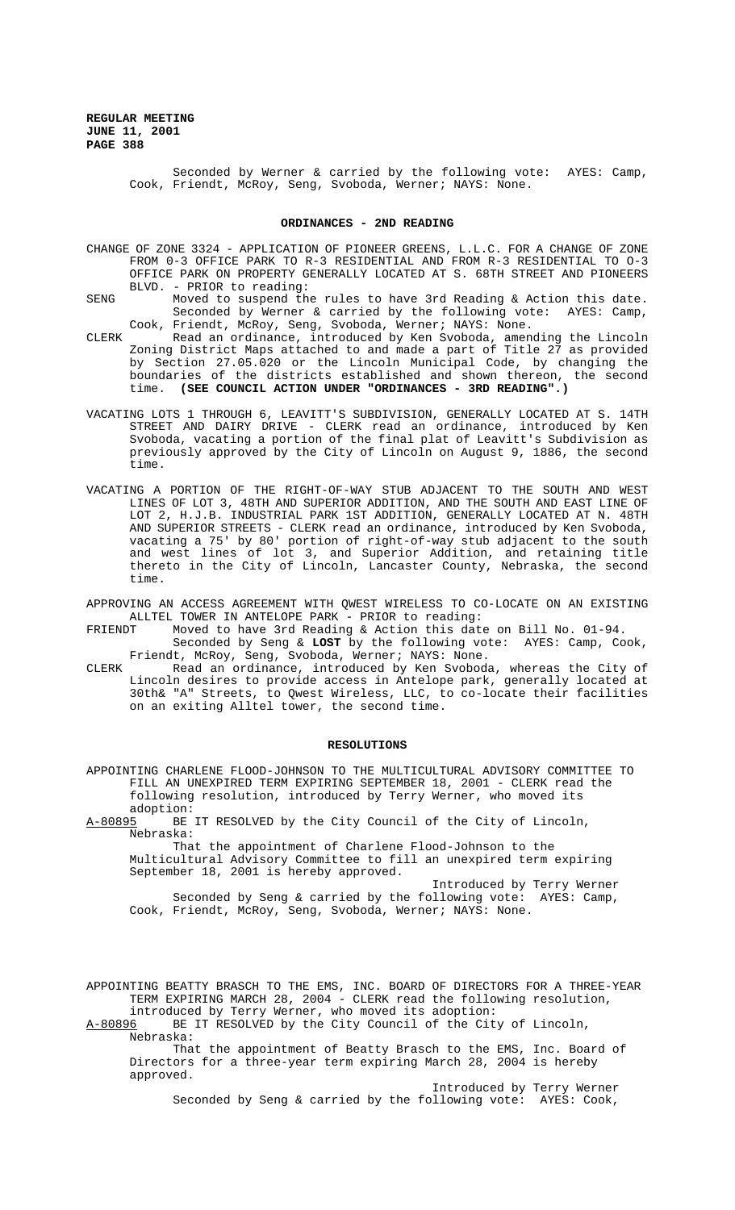> Seconded by Werner & carried by the following vote: AYES: Camp, Cook, Friendt, McRoy, Seng, Svoboda, Werner; NAYS: None.

### **ORDINANCES - 2ND READING**

- CHANGE OF ZONE 3324 APPLICATION OF PIONEER GREENS, L.L.C. FOR A CHANGE OF ZONE FROM 0-3 OFFICE PARK TO R-3 RESIDENTIAL AND FROM R-3 RESIDENTIAL TO O-3 OFFICE PARK ON PROPERTY GENERALLY LOCATED AT S. 68TH STREET AND PIONEERS BLVD. - PRIOR to reading:
- SENG Moved to suspend the rules to have 3rd Reading & Action this date. Seconded by Werner & carried by the following vote: AYES: Camp, Cook, Friendt, McRoy, Seng, Svoboda, Werner; NAYS: None.
- CLERK Read an ordinance, introduced by Ken Svoboda, amending the Lincoln Zoning District Maps attached to and made a part of Title 27 as provided by Section 27.05.020 or the Lincoln Municipal Code, by changing the boundaries of the districts established and shown thereon, the second time. **(SEE COUNCIL ACTION UNDER "ORDINANCES - 3RD READING".)**
- VACATING LOTS 1 THROUGH 6, LEAVITT'S SUBDIVISION, GENERALLY LOCATED AT S. 14TH STREET AND DAIRY DRIVE - CLERK read an ordinance, introduced by Ken Svoboda, vacating a portion of the final plat of Leavitt's Subdivision as previously approved by the City of Lincoln on August 9, 1886, the second time.
- VACATING A PORTION OF THE RIGHT-OF-WAY STUB ADJACENT TO THE SOUTH AND WEST LINES OF LOT 3, 48TH AND SUPERIOR ADDITION, AND THE SOUTH AND EAST LINE OF LOT 2, H.J.B. INDUSTRIAL PARK 1ST ADDITION, GENERALLY LOCATED AT N. 48TH AND SUPERIOR STREETS - CLERK read an ordinance, introduced by Ken Svoboda, vacating a 75' by 80' portion of right-of-way stub adjacent to the south vacating a 75 by 30 portion of register and retaining title<br>and west lines of lot 3, and Superior Addition, and retaining title thereto in the City of Lincoln, Lancaster County, Nebraska, the second time.
- APPROVING AN ACCESS AGREEMENT WITH QWEST WIRELESS TO CO-LOCATE ON AN EXISTING ALLTEL TOWER IN ANTELOPE PARK - PRIOR to reading:
- FRIENDT Moved to have 3rd Reading & Action this date on Bill No. 01-94. Seconded by Seng & **LOST** by the following vote: AYES: Camp, Cook, Friendt, McRoy, Seng, Svoboda, Werner; NAYS: None.
- CLERK Read an ordinance, introduced by Ken Svoboda, whereas the City of Lincoln desires to provide access in Antelope park, generally located at 30th& "A" Streets, to Qwest Wireless, LLC, to co-locate their facilities on an exiting Alltel tower, the second time.

#### **RESOLUTIONS**

APPOINTING CHARLENE FLOOD-JOHNSON TO THE MULTICULTURAL ADVISORY COMMITTEE TO FILL AN UNEXPIRED TERM EXPIRING SEPTEMBER 18, 2001 - CLERK read the following resolution, introduced by Terry Werner, who moved its adoption:

A-80895 BE IT RESOLVED by the City Council of the City of Lincoln, Nebraska:

That the appointment of Charlene Flood-Johnson to the Multicultural Advisory Committee to fill an unexpired term expiring September 18, 2001 is hereby approved.

Introduced by Terry Werner Seconded by Seng & carried by the following vote: AYES: Camp, Cook, Friendt, McRoy, Seng, Svoboda, Werner; NAYS: None.

APPOINTING BEATTY BRASCH TO THE EMS, INC. BOARD OF DIRECTORS FOR A THREE-YEAR TERM EXPIRING MARCH 28, 2004 - CLERK read the following resolution, introduced by Terry Werner, who moved its adoption:

A-80896 BE IT RESOLVED by the City Council of the City of Lincoln, Nebraska:

That the appointment of Beatty Brasch to the EMS, Inc. Board of Directors for a three-year term expiring March 28, 2004 is hereby approved.

Introduced by Terry Werner Seconded by Seng & carried by the following vote: AYES: Cook,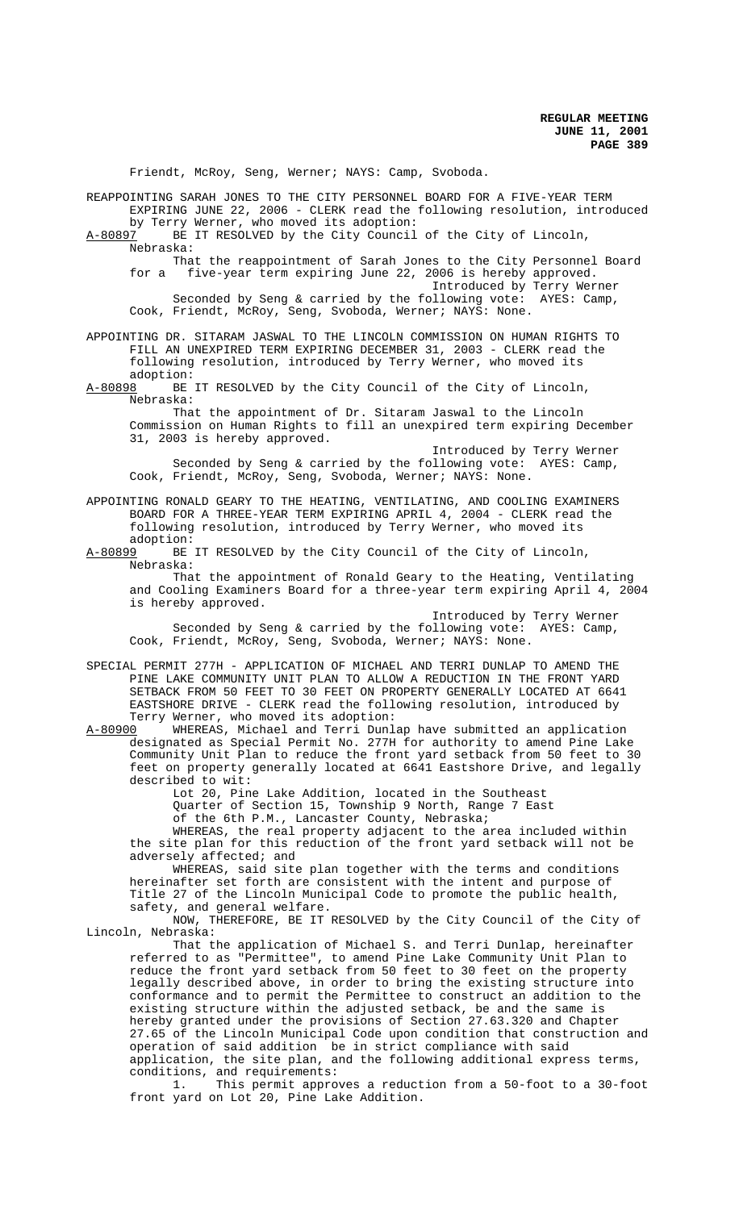Friendt, McRoy, Seng, Werner; NAYS: Camp, Svoboda. REAPPOINTING SARAH JONES TO THE CITY PERSONNEL BOARD FOR A FIVE-YEAR TERM EXPIRING JUNE 22, 2006 - CLERK read the following resolution, introduced by Terry Werner, who moved its adoption: A-80897 BE IT RESOLVED by the City Council of the City of Lincoln, Nebraska: That the reappointment of Sarah Jones to the City Personnel Board for a five-year term expiring June 22, 2006 is hereby approved. Introduced by Terry Werner Seconded by Seng & carried by the following vote: AYES: Camp, Cook, Friendt, McRoy, Seng, Svoboda, Werner; NAYS: None. APPOINTING DR. SITARAM JASWAL TO THE LINCOLN COMMISSION ON HUMAN RIGHTS TO FILL AN UNEXPIRED TERM EXPIRING DECEMBER 31, 2003 - CLERK read the following resolution, introduced by Terry Werner, who moved its adoption:<br>A-80898 BE BE IT RESOLVED by the City Council of the City of Lincoln, Nebraska: That the appointment of Dr. Sitaram Jaswal to the Lincoln Commission on Human Rights to fill an unexpired term expiring December 31, 2003 is hereby approved. Introduced by Terry Werner Seconded by Seng & carried by the following vote: AYES: Camp, Cook, Friendt, McRoy, Seng, Svoboda, Werner; NAYS: None. APPOINTING RONALD GEARY TO THE HEATING, VENTILATING, AND COOLING EXAMINERS BOARD FOR A THREE-YEAR TERM EXPIRING APRIL 4, 2004 - CLERK read the following resolution, introduced by Terry Werner, who moved its adoption:<br><u>A-80899</u> BE BE IT RESOLVED by the City Council of the City of Lincoln, Nebraska: That the appointment of Ronald Geary to the Heating, Ventilating and Cooling Examiners Board for a three-year term expiring April 4, 2004 is hereby approved. Introduced by Terry Werner Seconded by Seng & carried by the following vote: AYES: Camp, Cook, Friendt, McRoy, Seng, Svoboda, Werner; NAYS: None. SPECIAL PERMIT 277H - APPLICATION OF MICHAEL AND TERRI DUNLAP TO AMEND THE PINE LAKE COMMUNITY UNIT PLAN TO ALLOW A REDUCTION IN THE FRONT YARD SETBACK FROM 50 FEET TO 30 FEET ON PROPERTY GENERALLY LOCATED AT 6641 EASTSHORE DRIVE - CLERK read the following resolution, introduced by Terry Werner, who moved its adoption:<br>A-80900 WHEREAS, Michael and Terri Dunl WHEREAS, Michael and Terri Dunlap have submitted an application

designated as Special Permit No. 277H for authority to amend Pine Lake Community Unit Plan to reduce the front yard setback from 50 feet to 30 feet on property generally located at 6641 Eastshore Drive, and legally described to wit:

Lot 20, Pine Lake Addition, located in the Southeast Quarter of Section 15, Township 9 North, Range 7 East

of the 6th P.M., Lancaster County, Nebraska;

WHEREAS, the real property adjacent to the area included within the site plan for this reduction of the front yard setback will not be adversely affected; and

WHEREAS, said site plan together with the terms and conditions hereinafter set forth are consistent with the intent and purpose of Title 27 of the Lincoln Municipal Code to promote the public health, safety, and general welfare.

NOW, THEREFORE, BE IT RESOLVED by the City Council of the City of Lincoln, Nebraska:

That the application of Michael S. and Terri Dunlap, hereinafter referred to as "Permittee", to amend Pine Lake Community Unit Plan to reduce the front yard setback from 50 feet to 30 feet on the property legally described above, in order to bring the existing structure into conformance and to permit the Permittee to construct an addition to the existing structure within the adjusted setback, be and the same is hereby granted under the provisions of Section 27.63.320 and Chapter 27.65 of the Lincoln Municipal Code upon condition that construction and operation of said addition be in strict compliance with said application, the site plan, and the following additional express terms, conditions, and requirements:

1. This permit approves a reduction from a 50-foot to a 30-foot front yard on Lot 20, Pine Lake Addition.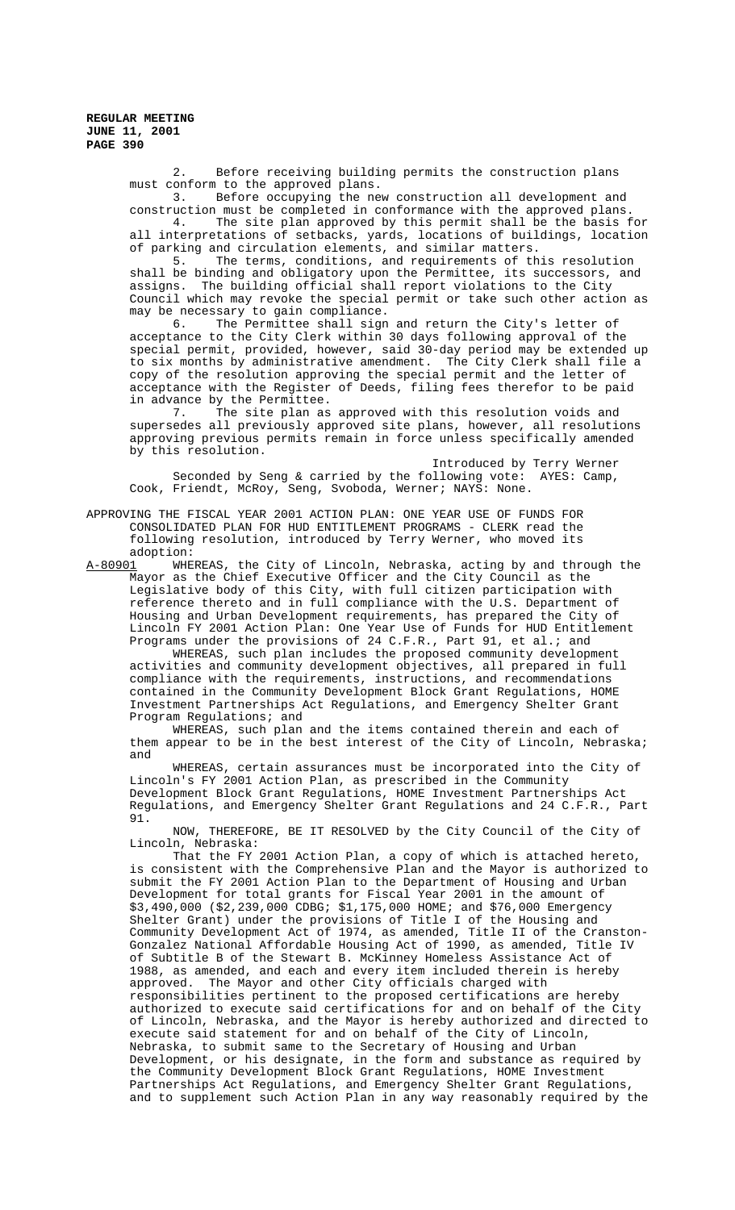> 2. Before receiving building permits the construction plans must conform to the approved plans.

3. Before occupying the new construction all development and construction must be completed in conformance with the approved plans. 4. The site plan approved by this permit shall be the basis for

all interpretations of setbacks, yards, locations of buildings, location of parking and circulation elements, and similar matters.

5. The terms, conditions, and requirements of this resolution shall be binding and obligatory upon the Permittee, its successors, and assigns. The building official shall report violations to the City Council which may revoke the special permit or take such other action as may be necessary to gain compliance.

6. The Permittee shall sign and return the City's letter of acceptance to the City Clerk within 30 days following approval of the special permit, provided, however, said 30-day period may be extended up to six months by administrative amendment. The City Clerk shall file a copy of the resolution approving the special permit and the letter of acceptance with the Register of Deeds, filing fees therefor to be paid in advance by the Permittee.

7. The site plan as approved with this resolution voids and supersedes all previously approved site plans, however, all resolutions approving previous permits remain in force unless specifically amended by this resolution.

Introduced by Terry Werner Seconded by Seng & carried by the following vote: AYES: Camp, Cook, Friendt, McRoy, Seng, Svoboda, Werner; NAYS: None.

APPROVING THE FISCAL YEAR 2001 ACTION PLAN: ONE YEAR USE OF FUNDS FOR CONSOLIDATED PLAN FOR HUD ENTITLEMENT PROGRAMS - CLERK read the following resolution, introduced by Terry Werner, who moved its adoption:<br>A-80901 WHE

WHEREAS, the City of Lincoln, Nebraska, acting by and through the Mayor as the Chief Executive Officer and the City Council as the Legislative body of this City, with full citizen participation with reference thereto and in full compliance with the U.S. Department of Housing and Urban Development requirements, has prepared the City of Lincoln FY 2001 Action Plan: One Year Use of Funds for HUD Entitlement Programs under the provisions of 24 C.F.R., Part 91, et al.; and

WHEREAS, such plan includes the proposed community development activities and community development objectives, all prepared in full compliance with the requirements, instructions, and recommendations contained in the Community Development Block Grant Regulations, HOME Investment Partnerships Act Regulations, and Emergency Shelter Grant Program Regulations; and

WHEREAS, such plan and the items contained therein and each of them appear to be in the best interest of the City of Lincoln, Nebraska; and

WHEREAS, certain assurances must be incorporated into the City of Lincoln's FY 2001 Action Plan, as prescribed in the Community Development Block Grant Regulations, HOME Investment Partnerships Act Regulations, and Emergency Shelter Grant Regulations and 24 C.F.R., Part 91.

NOW, THEREFORE, BE IT RESOLVED by the City Council of the City of Lincoln, Nebraska:

That the FY 2001 Action Plan, a copy of which is attached hereto, is consistent with the Comprehensive Plan and the Mayor is authorized to submit the FY 2001 Action Plan to the Department of Housing and Urban Development for total grants for Fiscal Year 2001 in the amount of \$3,490,000 (\$2,239,000 CDBG; \$1,175,000 HOME; and \$76,000 Emergency Shelter Grant) under the provisions of Title I of the Housing and Community Development Act of 1974, as amended, Title II of the Cranston-Gonzalez National Affordable Housing Act of 1990, as amended, Title IV of Subtitle B of the Stewart B. McKinney Homeless Assistance Act of 1988, as amended, and each and every item included therein is hereby approved. The Mayor and other City officials charged with responsibilities pertinent to the proposed certifications are hereby authorized to execute said certifications for and on behalf of the City of Lincoln, Nebraska, and the Mayor is hereby authorized and directed to execute said statement for and on behalf of the City of Lincoln, Nebraska, to submit same to the Secretary of Housing and Urban Development, or his designate, in the form and substance as required by the Community Development Block Grant Regulations, HOME Investment Partnerships Act Regulations, and Emergency Shelter Grant Regulations, and to supplement such Action Plan in any way reasonably required by the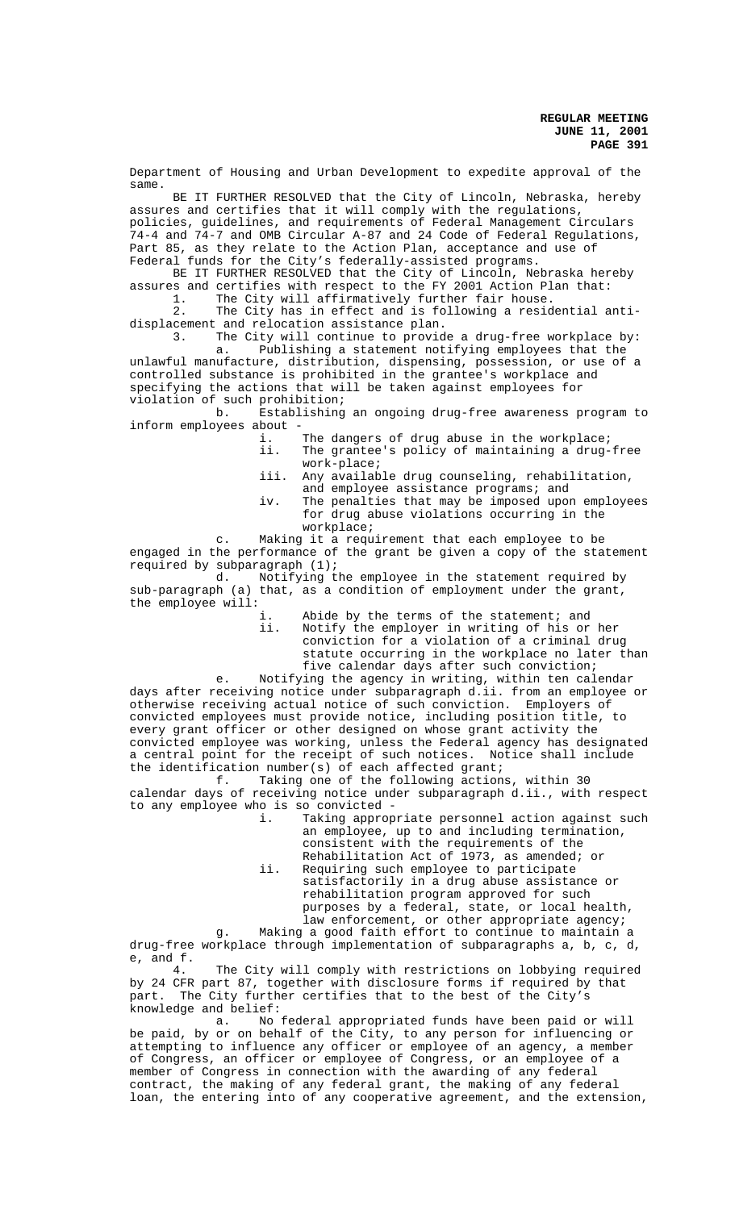Department of Housing and Urban Development to expedite approval of the same.

BE IT FURTHER RESOLVED that the City of Lincoln, Nebraska, hereby assures and certifies that it will comply with the regulations, policies, guidelines, and requirements of Federal Management Circulars 74-4 and 74-7 and OMB Circular A-87 and 24 Code of Federal Regulations, Part 85, as they relate to the Action Plan, acceptance and use of Federal funds for the City's federally-assisted programs.

BE IT FURTHER RESOLVED that the City of Lincoln, Nebraska hereby assures and certifies with respect to the FY 2001 Action Plan that:<br>1. The City will affirmatively further fair house.

1. The City will affirmatively further fair house.<br>2. The City has in effect and is following a resid The City has in effect and is following a residential antidisplacement and relocation assistance plan.<br>3. The City will continue to provid

The City will continue to provide a drug-free workplace by: a. Publishing a statement notifying employees that the

unlawful manufacture, distribution, dispensing, possession, or use of a controlled substance is prohibited in the grantee's workplace and specifying the actions that will be taken against employees for violation of such prohibition;

b. Establishing an ongoing drug-free awareness program to inform employees about

- i. The dangers of drug abuse in the workplace;<br>ii. The grantee's policy of maintaining a drug-The grantee's policy of maintaining a drug-free work-place;
- iii. Any available drug counseling, rehabilitation, and employee assistance programs; and
- iv. The penalties that may be imposed upon employees for drug abuse violations occurring in the
	- workplace;

c. Making it a requirement that each employee to be engaged in the performance of the grant be given a copy of the statement required by subparagraph (1);

d. Notifying the employee in the statement required by sub-paragraph (a) that, as a condition of employment under the grant, the employee will:<br>i.

i. Abide by the terms of the statement; and<br>ii. Notify the employer in writing of his or Notify the employer in writing of his or her conviction for a violation of a criminal drug statute occurring in the workplace no later than five calendar days after such conviction;

e. Notifying the agency in writing, within ten calendar days after receiving notice under subparagraph d.ii. from an employee or otherwise receiving actual notice of such conviction. Employers of convicted employees must provide notice, including position title, to every grant officer or other designed on whose grant activity the convicted employee was working, unless the Federal agency has designated a central point for the receipt of such notices. Notice shall include the identification number(s) of each affected grant;

f. Taking one of the following actions, within 30 calendar days of receiving notice under subparagraph d.ii., with respect to any employee who is so convicted -<br>i. Taking approx

Taking appropriate personnel action against such an employee, up to and including termination, consistent with the requirements of the Rehabilitation Act of 1973, as amended; or ii. Requiring such employee to participate satisfactorily in a drug abuse assistance or rehabilitation program approved for such

purposes by a federal, state, or local health, law enforcement, or other appropriate agency;

g. Making a good faith effort to continue to maintain a drug-free workplace through implementation of subparagraphs a, b, c, d, e, and  $f.$ 

The City will comply with restrictions on lobbying required by 24 CFR part 87, together with disclosure forms if required by that part. The City further certifies that to the best of the City's knowledge and belief:

a. No federal appropriated funds have been paid or will be paid, by or on behalf of the City, to any person for influencing or attempting to influence any officer or employee of an agency, a member of Congress, an officer or employee of Congress, or an employee of a member of Congress in connection with the awarding of any federal contract, the making of any federal grant, the making of any federal loan, the entering into of any cooperative agreement, and the extension,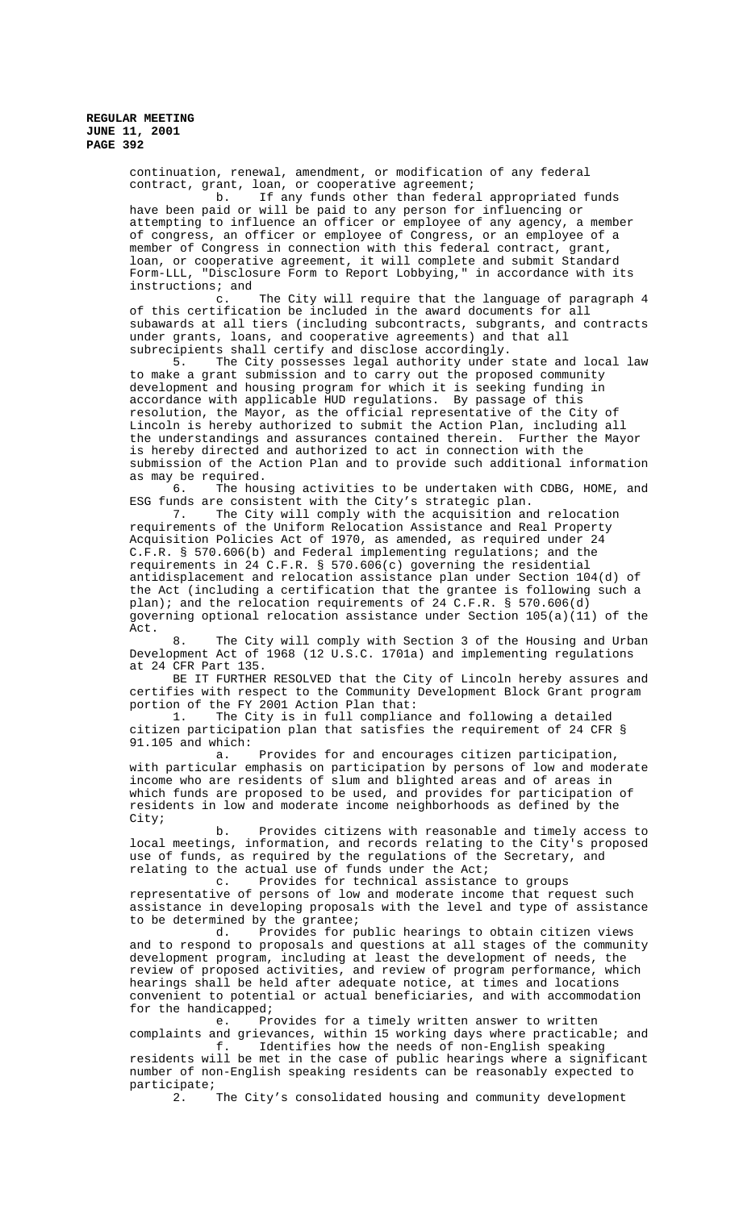> continuation, renewal, amendment, or modification of any federal contract, grant, loan, or cooperative agreement;<br>b. If any funds other than federa

If any funds other than federal appropriated funds have been paid or will be paid to any person for influencing or attempting to influence an officer or employee of any agency, a member of congress, an officer or employee of Congress, or an employee of a member of Congress in connection with this federal contract, grant loan, or cooperative agreement, it will complete and submit Standard Form-LLL, "Disclosure Form to Report Lobbying," in accordance with its instructions; and

c. The City will require that the language of paragraph 4 of this certification be included in the award documents for all subawards at all tiers (including subcontracts, subgrants, and contracts under grants, loans, and cooperative agreements) and that all subrecipients shall certify and disclose accordingly.

5. The City possesses legal authority under state and local law to make a grant submission and to carry out the proposed community development and housing program for which it is seeking funding in accordance with applicable HUD regulations. By passage of this resolution, the Mayor, as the official representative of the City of Lincoln is hereby authorized to submit the Action Plan, including all the understandings and assurances contained therein. Further the Mayor is hereby directed and authorized to act in connection with the submission of the Action Plan and to provide such additional information as may be required.<br>6 The hou

The housing activities to be undertaken with CDBG, HOME, and ESG funds are consistent with the City's strategic plan.

7. The City will comply with the acquisition and relocation requirements of the Uniform Relocation Assistance and Real Property Acquisition Policies Act of 1970, as amended, as required under 24 C.F.R. § 570.606(b) and Federal implementing regulations; and the requirements in 24 C.F.R. § 570.606(c) governing the residential antidisplacement and relocation assistance plan under Section 104(d) of the Act (including a certification that the grantee is following such a plan); and the relocation requirements of 24 C.F.R. § 570.606(d) governing optional relocation assistance under Section 105(a)(11) of the Act.

8. The City will comply with Section 3 of the Housing and Urban Development Act of 1968 (12 U.S.C. 1701a) and implementing regulations at 24 CFR Part 135.

BE IT FURTHER RESOLVED that the City of Lincoln hereby assures and certifies with respect to the Community Development Block Grant program portion of the FY 2001 Action Plan that:

1. The City is in full compliance and following a detailed citizen participation plan that satisfies the requirement of 24 CFR § 91.105 and which:

a. Provides for and encourages citizen participation, with particular emphasis on participation by persons of low and moderate income who are residents of slum and blighted areas and of areas in which funds are proposed to be used, and provides for participation of residents in low and moderate income neighborhoods as defined by the City;

b. Provides citizens with reasonable and timely access to local meetings, information, and records relating to the City's proposed use of funds, as required by the regulations of the Secretary, and relating to the actual use of funds under the Act;

c. Provides for technical assistance to groups representative of persons of low and moderate income that request such assistance in developing proposals with the level and type of assistance to be determined by the grantee;

d. Provides for public hearings to obtain citizen views and to respond to proposals and questions at all stages of the community development program, including at least the development of needs, the review of proposed activities, and review of program performance, which hearings shall be held after adequate notice, at times and locations convenient to potential or actual beneficiaries, and with accommodation for the handicapped;

e. Provides for a timely written answer to written complaints and grievances, within 15 working days where practicable; and<br>f. Identifies how the needs of non-English speaking Identifies how the needs of non-English speaking

residents will be met in the case of public hearings where a significant number of non-English speaking residents can be reasonably expected to participate;<br>2.

The City's consolidated housing and community development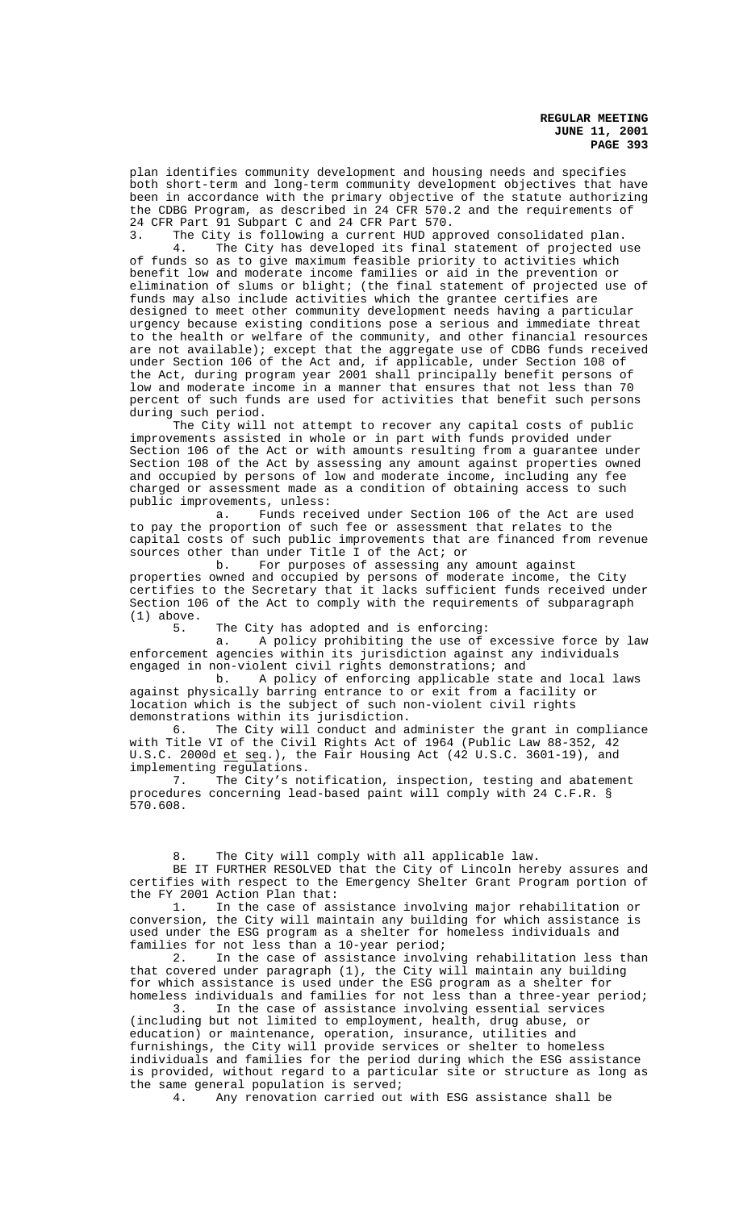plan identifies community development and housing needs and specifies both short-term and long-term community development objectives that have been in accordance with the primary objective of the statute authorizing the CDBG Program, as described in 24 CFR 570.2 and the requirements of 24 CFR Part 91 Subpart C and 24 CFR Part 570.

3. The City is following a current HUD approved consolidated plan.<br>4. The City has developed its final statement of projected u The City has developed its final statement of projected use of funds so as to give maximum feasible priority to activities which benefit low and moderate income families or aid in the prevention or elimination of slums or blight; (the final statement of projected use of funds may also include activities which the grantee certifies are designed to meet other community development needs having a particular urgency because existing conditions pose a serious and immediate threat to the health or welfare of the community, and other financial resources are not available); except that the aggregate use of CDBG funds received under Section 106 of the Act and, if applicable, under Section 108 of the Act, during program year 2001 shall principally benefit persons of low and moderate income in a manner that ensures that not less than 70 percent of such funds are used for activities that benefit such persons during such period.

The City will not attempt to recover any capital costs of public improvements assisted in whole or in part with funds provided under Section 106 of the Act or with amounts resulting from a guarantee under Section 108 of the Act by assessing any amount against properties owned and occupied by persons of low and moderate income, including any fee charged or assessment made as a condition of obtaining access to such public improvements, unless:

a. Funds received under Section 106 of the Act are used to pay the proportion of such fee or assessment that relates to the capital costs of such public improvements that are financed from revenue sources other than under Title I of the Act; or

b. For purposes of assessing any amount against properties owned and occupied by persons of moderate income, the City certifies to the Secretary that it lacks sufficient funds received under Section 106 of the Act to comply with the requirements of subparagraph (1) above.

5. The City has adopted and is enforcing:

a. A policy prohibiting the use of excessive force by law enforcement agencies within its jurisdiction against any individuals engaged in non-violent civil rights demonstrations; and

b. A policy of enforcing applicable state and local laws against physically barring entrance to or exit from a facility or location which is the subject of such non-violent civil rights demonstrations within its jurisdiction.

6. The City will conduct and administer the grant in compliance with Title VI of the Civil Rights Act of 1964 (Public Law 88-352, 42 U.S.C. 2000d <u>et</u> seq.), the Fair Housing Act (42 U.S.C. 3601-19), and implementing regulations.

7. The City's notification, inspection, testing and abatement procedures concerning lead-based paint will comply with 24 C.F.R. § 570.608.

8. The City will comply with all applicable law.

BE IT FURTHER RESOLVED that the City of Lincoln hereby assures and certifies with respect to the Emergency Shelter Grant Program portion of the FY 2001 Action Plan that:

1. In the case of assistance involving major rehabilitation or conversion, the City will maintain any building for which assistance is used under the ESG program as a shelter for homeless individuals and families for not less than a 10-year period;

2. In the case of assistance involving rehabilitation less than that covered under paragraph (1), the City will maintain any building for which assistance is used under the ESG program as a shelter for homeless individuals and families for not less than a three-year period;

3. In the case of assistance involving essential services (including but not limited to employment, health, drug abuse, or education) or maintenance, operation, insurance, utilities and furnishings, the City will provide services or shelter to homeless individuals and families for the period during which the ESG assistance is provided, without regard to a particular site or structure as long as the same general population is served;<br>4. Any renovation carried out

Any renovation carried out with ESG assistance shall be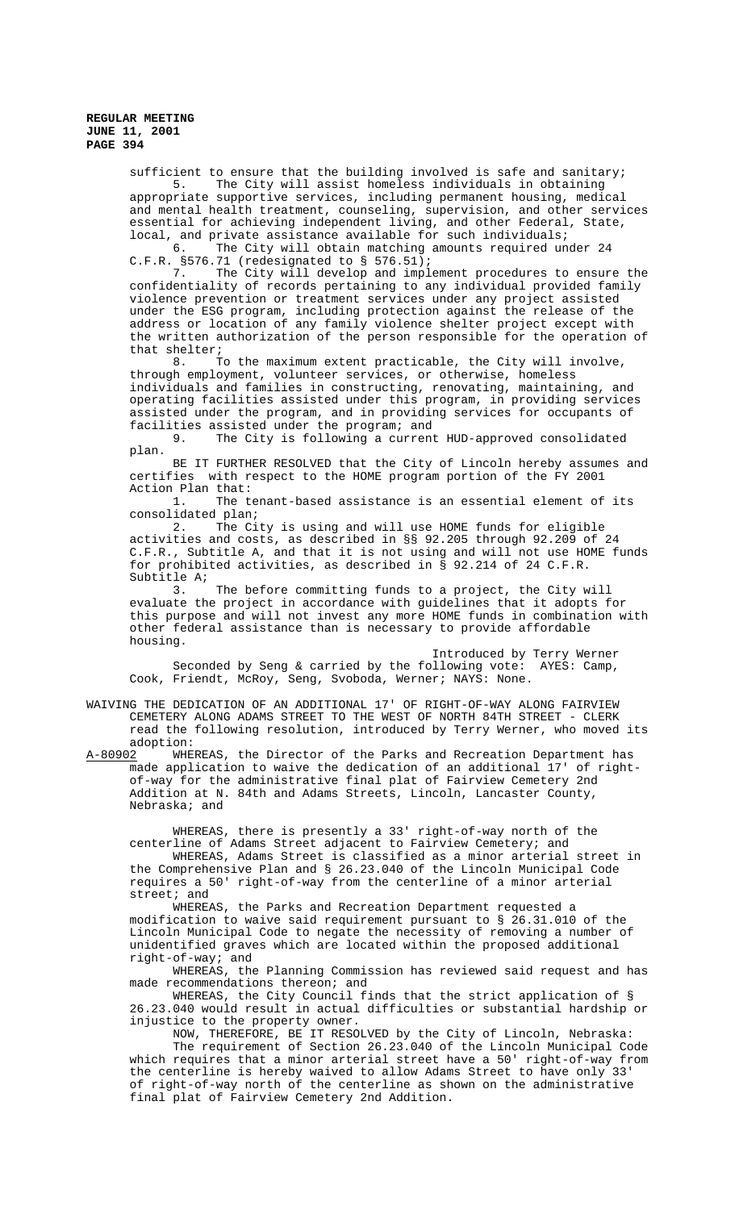> sufficient to ensure that the building involved is safe and sanitary; 5. The City will assist homeless individuals in obtaining appropriate supportive services, including permanent housing, medical and mental health treatment, counseling, supervision, and other services essential for achieving independent living, and other Federal, State, local, and private assistance available for such individuals;

6. The City will obtain matching amounts required under 24 C.F.R. §576.71 (redesignated to § 576.51);

7. The City will develop and implement procedures to ensure the confidentiality of records pertaining to any individual provided family violence prevention or treatment services under any project assisted under the ESG program, including protection against the release of the address or location of any family violence shelter project except with the written authorization of the person responsible for the operation of that shelter;

8. To the maximum extent practicable, the City will involve, through employment, volunteer services, or otherwise, homeless individuals and families in constructing, renovating, maintaining, and operating facilities assisted under this program, in providing services assisted under the program, and in providing services for occupants of

facilities assisted under the program; and<br>9. The City is following a current The City is following a current HUD-approved consolidated plan.

BE IT FURTHER RESOLVED that the City of Lincoln hereby assumes and certifies with respect to the HOME program portion of the FY 2001 Action Plan that:

1. The tenant-based assistance is an essential element of its consolidated plan;

2. The City is using and will use HOME funds for eligible activities and costs, as described in §§ 92.205 through 92.209 of 24 C.F.R., Subtitle A, and that it is not using and will not use HOME funds for prohibited activities, as described in § 92.214 of 24 C.F.R. Subtitle A;

3. The before committing funds to a project, the City will evaluate the project in accordance with guidelines that it adopts for this purpose and will not invest any more HOME funds in combination with other federal assistance than is necessary to provide affordable housing.

Introduced by Terry Werner Seconded by Seng & carried by the following vote: AYES: Camp, Cook, Friendt, McRoy, Seng, Svoboda, Werner; NAYS: None.

WAIVING THE DEDICATION OF AN ADDITIONAL 17' OF RIGHT-OF-WAY ALONG FAIRVIEW CEMETERY ALONG ADAMS STREET TO THE WEST OF NORTH 84TH STREET - CLERK read the following resolution, introduced by Terry Werner, who moved its

adoption:<br>A-80902 WHE WHEREAS, the Director of the Parks and Recreation Department has made application to waive the dedication of an additional 17' of rightof-way for the administrative final plat of Fairview Cemetery 2nd Addition at N. 84th and Adams Streets, Lincoln, Lancaster County, Nebraska; and

WHEREAS, there is presently a 33' right-of-way north of the centerline of Adams Street adjacent to Fairview Cemetery; and

WHEREAS, Adams Street is classified as a minor arterial street in the Comprehensive Plan and § 26.23.040 of the Lincoln Municipal Code requires a 50' right-of-way from the centerline of a minor arterial street; and

WHEREAS, the Parks and Recreation Department requested a modification to waive said requirement pursuant to § 26.31.010 of the Lincoln Municipal Code to negate the necessity of removing a number of unidentified graves which are located within the proposed additional right-of-way; and

WHEREAS, the Planning Commission has reviewed said request and has made recommendations thereon; and

WHEREAS, the City Council finds that the strict application of § 26.23.040 would result in actual difficulties or substantial hardship or injustice to the property owner.

NOW, THEREFORE, BE IT RESOLVED by the City of Lincoln, Nebraska: The requirement of Section 26.23.040 of the Lincoln Municipal Code which requires that a minor arterial street have a 50' right-of-way from the centerline is hereby waived to allow Adams Street to have only 33' of right-of-way north of the centerline as shown on the administrative final plat of Fairview Cemetery 2nd Addition.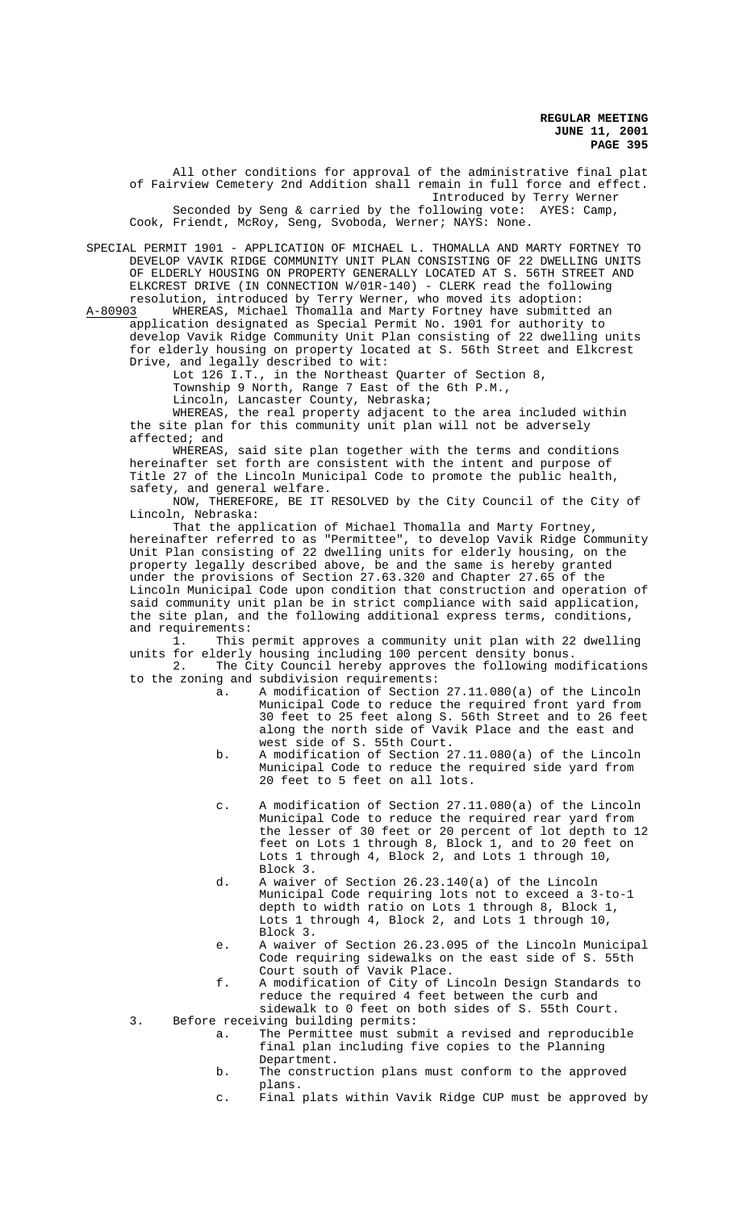All other conditions for approval of the administrative final plat of Fairview Cemetery 2nd Addition shall remain in full force and effect. Introduced by Terry Werner Seconded by Seng & carried by the following vote: AYES: Camp,

Cook, Friendt, McRoy, Seng, Svoboda, Werner; NAYS: None.

SPECIAL PERMIT 1901 - APPLICATION OF MICHAEL L. THOMALLA AND MARTY FORTNEY TO DEVELOP VAVIK RIDGE COMMUNITY UNIT PLAN CONSISTING OF 22 DWELLING UNITS OF ELDERLY HOUSING ON PROPERTY GENERALLY LOCATED AT S. 56TH STREET AND ELKCREST DRIVE (IN CONNECTION W/01R-140) - CLERK read the following resolution, introduced by Terry Werner, who moved its adoption:<br>A-80903 WHEREAS, Michael Thomalla and Marty Fortney have submitte

A-80903 WHEREAS, Michael Thomalla and Marty Fortney have submitted an application designated as Special Permit No. 1901 for authority to develop Vavik Ridge Community Unit Plan consisting of 22 dwelling units for elderly housing on property located at S. 56th Street and Elkcrest Drive, and legally described to wit:

Lot 126 I.T., in the Northeast Quarter of Section 8, Township 9 North, Range 7 East of the 6th P.M.,

Lincoln, Lancaster County, Nebraska;

WHEREAS, the real property adjacent to the area included within the site plan for this community unit plan will not be adversely affected; and

WHEREAS, said site plan together with the terms and conditions hereinafter set forth are consistent with the intent and purpose of Title 27 of the Lincoln Municipal Code to promote the public health, safety, and general welfare.

NOW, THEREFORE, BE IT RESOLVED by the City Council of the City of Lincoln, Nebraska:

That the application of Michael Thomalla and Marty Fortney, hereinafter referred to as "Permittee", to develop Vavik Ridge Community Unit Plan consisting of 22 dwelling units for elderly housing, on the property legally described above, be and the same is hereby granted under the provisions of Section 27.63.320 and Chapter 27.65 of the Lincoln Municipal Code upon condition that construction and operation of said community unit plan be in strict compliance with said application, the site plan, and the following additional express terms, conditions, and requirements:<br>1. This

This permit approves a community unit plan with 22 dwelling units for elderly housing including 100 percent density bonus. 2. The City Council hereby approves the following modifications

to the zoning and subdivision requirements:

- a. A modification of Section 27.11.080(a) of the Lincoln Municipal Code to reduce the required front yard from 30 feet to 25 feet along S. 56th Street and to 26 feet along the north side of Vavik Place and the east and west side of S. 55th Court.
- b. A modification of Section 27.11.080(a) of the Lincoln Municipal Code to reduce the required side yard from 20 feet to 5 feet on all lots.
- c. A modification of Section 27.11.080(a) of the Lincoln Municipal Code to reduce the required rear yard from the lesser of 30 feet or 20 percent of lot depth to 12 feet on Lots 1 through 8, Block 1, and to 20 feet on Lots 1 through 4, Block 2, and Lots 1 through 10, Block 3.
- d. A waiver of Section 26.23.140(a) of the Lincoln Municipal Code requiring lots not to exceed a 3-to-1 depth to width ratio on Lots 1 through 8, Block 1, Lots 1 through 4, Block 2, and Lots 1 through 10, Block 3.
- e. A waiver of Section 26.23.095 of the Lincoln Municipal Code requiring sidewalks on the east side of S. 55th Court south of Vavik Place.
- f. A modification of City of Lincoln Design Standards to reduce the required 4 feet between the curb and sidewalk to 0 feet on both sides of S. 55th Court.
- 3. Before receiving building permits:
	- a. The Permittee must submit a revised and reproducible final plan including five copies to the Planning Department.
	- b. The construction plans must conform to the approved plans.
	- c. Final plats within Vavik Ridge CUP must be approved by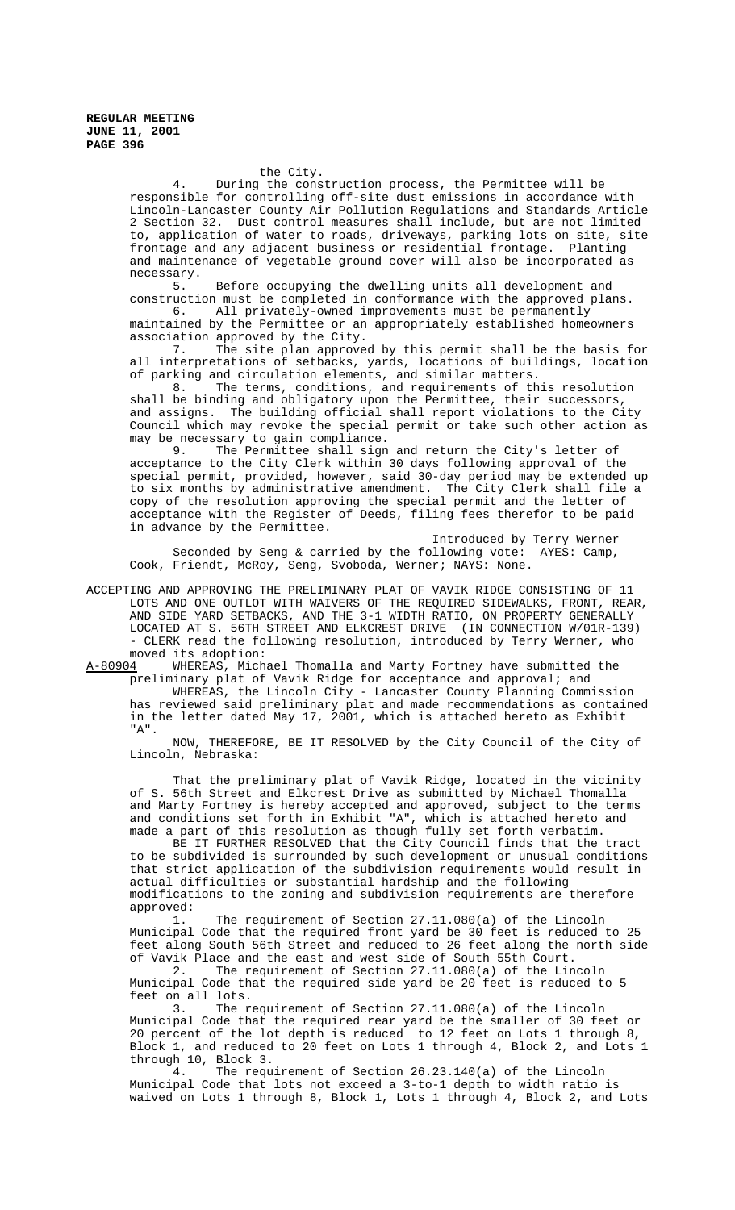#### the City.

4. During the construction process, the Permittee will be responsible for controlling off-site dust emissions in accordance with Lincoln-Lancaster County Air Pollution Regulations and Standards Article 2 Section 32. Dust control measures shall include, but are not limited to, application of water to roads, driveways, parking lots on site, site frontage and any adjacent business or residential frontage. Planting and maintenance of vegetable ground cover will also be incorporated as necessary.<br>5.

5. Before occupying the dwelling units all development and construction must be completed in conformance with the approved plans.

6. All privately-owned improvements must be permanently maintained by the Permittee or an appropriately established homeowners association approved by the City.

7. The site plan approved by this permit shall be the basis for all interpretations of setbacks, yards, locations of buildings, location of parking and circulation elements, and similar matters.<br>8. The terms, conditions, and requirements of th

The terms, conditions, and requirements of this resolution shall be binding and obligatory upon the Permittee, their successors, and assigns. The building official shall report violations to the City Council which may revoke the special permit or take such other action as may be necessary to gain compliance.

9. The Permittee shall sign and return the City's letter of acceptance to the City Clerk within 30 days following approval of the special permit, provided, however, said 30-day period may be extended up to six months by administrative amendment. The City Clerk shall file a copy of the resolution approving the special permit and the letter of acceptance with the Register of Deeds, filing fees therefor to be paid in advance by the Permittee.

Introduced by Terry Werner Seconded by Seng & carried by the following vote: AYES: Camp, Cook, Friendt, McRoy, Seng, Svoboda, Werner; NAYS: None.

ACCEPTING AND APPROVING THE PRELIMINARY PLAT OF VAVIK RIDGE CONSISTING OF 11 LOTS AND ONE OUTLOT WITH WAIVERS OF THE REQUIRED SIDEWALKS, FRONT, REAR, AND SIDE YARD SETBACKS, AND THE 3-1 WIDTH RATIO, ON PROPERTY GENERALLY LOCATED AT S. 56TH STREET AND ELKCREST DRIVE (IN CONNECTION W/01R-139) - CLERK read the following resolution, introduced by Terry Werner, who

moved its adoption:<br>A-80904 WHEREAS, Mich WHEREAS, Michael Thomalla and Marty Fortney have submitted the preliminary plat of Vavik Ridge for acceptance and approval; and

WHEREAS, the Lincoln City - Lancaster County Planning Commission has reviewed said preliminary plat and made recommendations as contained in the letter dated May 17, 2001, which is attached hereto as Exhibit "A".

NOW, THEREFORE, BE IT RESOLVED by the City Council of the City of Lincoln, Nebraska:

That the preliminary plat of Vavik Ridge, located in the vicinity of S. 56th Street and Elkcrest Drive as submitted by Michael Thomalla and Marty Fortney is hereby accepted and approved, subject to the terms and conditions set forth in Exhibit "A", which is attached hereto and made a part of this resolution as though fully set forth verbatim.

BE IT FURTHER RESOLVED that the City Council finds that the tract to be subdivided is surrounded by such development or unusual conditions that strict application of the subdivision requirements would result in actual difficulties or substantial hardship and the following modifications to the zoning and subdivision requirements are therefore approved:<br> $1.$ 

The requirement of Section 27.11.080(a) of the Lincoln Municipal Code that the required front yard be 30 feet is reduced to 25 feet along South 56th Street and reduced to 26 feet along the north side of Vavik Place and the east and west side of South 55th Court.<br>2 The requirement of Section 27.11.080(a) of the Lin

The requirement of Section 27.11.080(a) of the Lincoln Municipal Code that the required side yard be 20 feet is reduced to 5 feet on all lots.

3. The requirement of Section 27.11.080(a) of the Lincoln Municipal Code that the required rear yard be the smaller of 30 feet or 20 percent of the lot depth is reduced to 12 feet on Lots 1 through 8, Block 1, and reduced to 20 feet on Lots 1 through 4, Block 2, and Lots 1 through 10, Block 3.

4. The requirement of Section 26.23.140(a) of the Lincoln Municipal Code that lots not exceed a 3-to-1 depth to width ratio is waived on Lots 1 through 8, Block 1, Lots 1 through 4, Block 2, and Lots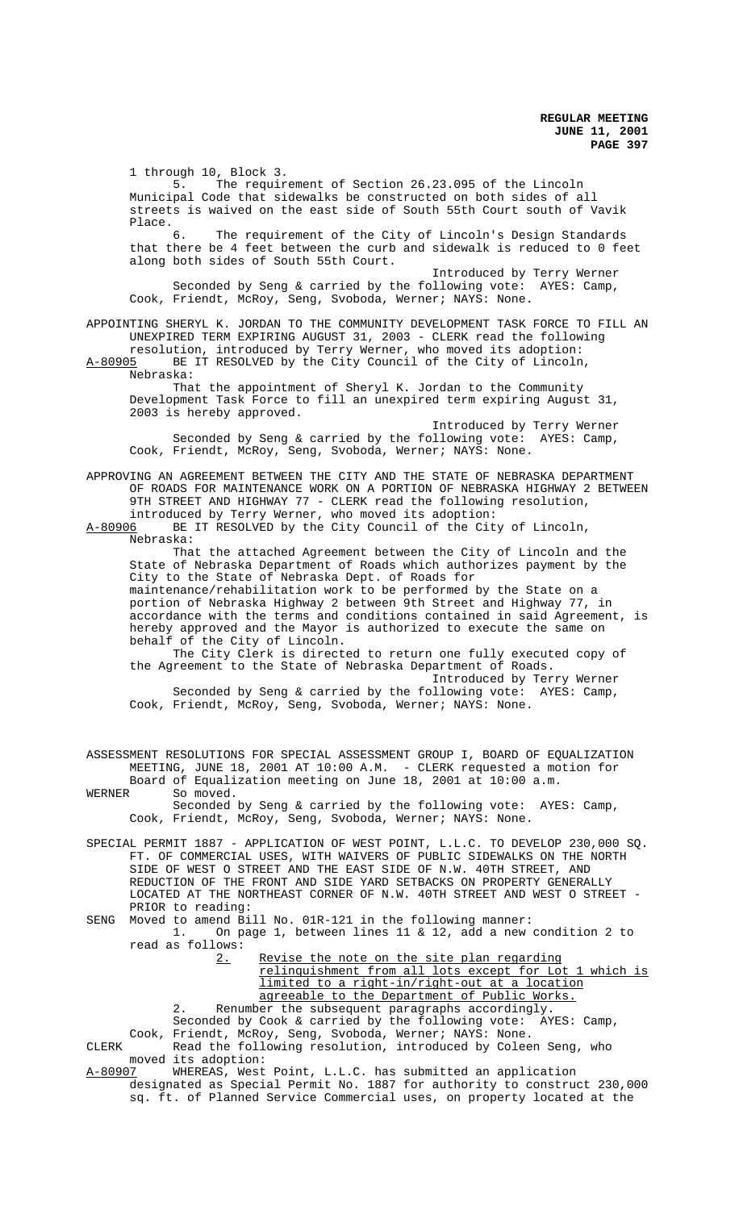1 through 10, Block 3. 5. The requirement of Section 26.23.095 of the Lincoln Municipal Code that sidewalks be constructed on both sides of all streets is waived on the east side of South 55th Court south of Vavik Place.<br>6. The requirement of the City of Lincoln's Design Standards that there be 4 feet between the curb and sidewalk is reduced to 0 feet along both sides of South 55th Court. Introduced by Terry Werner Seconded by Seng & carried by the following vote: AYES: Camp, Cook, Friendt, McRoy, Seng, Svoboda, Werner; NAYS: None. APPOINTING SHERYL K. JORDAN TO THE COMMUNITY DEVELOPMENT TASK FORCE TO FILL AN UNEXPIRED TERM EXPIRING AUGUST 31, 2003 - CLERK read the following resolution, introduced by Terry Werner, who moved its adoption: A-80905 BE IT RESOLVED by the City Council of the City of Lincoln, Nebraska: That the appointment of Sheryl K. Jordan to the Community Development Task Force to fill an unexpired term expiring August 31, 2003 is hereby approved. Introduced by Terry Werner Seconded by Seng & carried by the following vote: AYES: Camp, Cook, Friendt, McRoy, Seng, Svoboda, Werner; NAYS: None. APPROVING AN AGREEMENT BETWEEN THE CITY AND THE STATE OF NEBRASKA DEPARTMENT OF ROADS FOR MAINTENANCE WORK ON A PORTION OF NEBRASKA HIGHWAY 2 BETWEEN 9TH STREET AND HIGHWAY 77 - CLERK read the following resolution, introduced by Terry Werner, who moved its adoption: A-80906 BE IT RESOLVED by the City Council of the City of Lincoln, Nebraska: That the attached Agreement between the City of Lincoln and the State of Nebraska Department of Roads which authorizes payment by the City to the State of Nebraska Dept. of Roads for maintenance/rehabilitation work to be performed by the State on a portion of Nebraska Highway 2 between 9th Street and Highway 77, in accordance with the terms and conditions contained in said Agreement, is hereby approved and the Mayor is authorized to execute the same on behalf of the City of Lincoln. The City Clerk is directed to return one fully executed copy of the Agreement to the State of Nebraska Department of Roads. Introduced by Terry Werner Seconded by Seng & carried by the following vote: AYES: Camp, Cook, Friendt, McRoy, Seng, Svoboda, Werner; NAYS: None. ASSESSMENT RESOLUTIONS FOR SPECIAL ASSESSMENT GROUP I, BOARD OF EQUALIZATION MEETING, JUNE 18, 2001 AT 10:00 A.M. - CLERK requested a motion for Board of Equalization meeting on June 18, 2001 at 10:00 a.m. WERNER So moved. Seconded by Seng & carried by the following vote: AYES: Camp, Cook, Friendt, McRoy, Seng, Svoboda, Werner; NAYS: None. SPECIAL PERMIT 1887 - APPLICATION OF WEST POINT, L.L.C. TO DEVELOP 230,000 SQ. FT. OF COMMERCIAL USES, WITH WAIVERS OF PUBLIC SIDEWALKS ON THE NORTH SIDE OF WEST O STREET AND THE EAST SIDE OF N.W. 40TH STREET, AND REDUCTION OF THE FRONT AND SIDE YARD SETBACKS ON PROPERTY GENERALLY LOCATED AT THE NORTHEAST CORNER OF N.W. 40TH STREET AND WEST O STREET - PRIOR to reading: SENG Moved to amend Bill No. 01R-121 in the following manner: 1. On page 1, between lines 11 & 12, add a new condition 2 to read as follows: 2. Revise the note on the site plan regarding relinquishment from all lots except for Lot 1 which is limited to a right-in/right-out at a location agreeable to the Department of Public Works. 2. Renumber the subsequent paragraphs accordingly. Seconded by Cook & carried by the following vote: AYES: Camp, Cook, Friendt, McRoy, Seng, Svoboda, Werner; NAYS: None. CLERK Read the following resolution, introduced by Coleen Seng, who moved its adoption:<br>A-80907 WHEREAS, West WHEREAS, West Point, L.L.C. has submitted an application designated as Special Permit No. 1887 for authority to construct 230,000 sq. ft. of Planned Service Commercial uses, on property located at the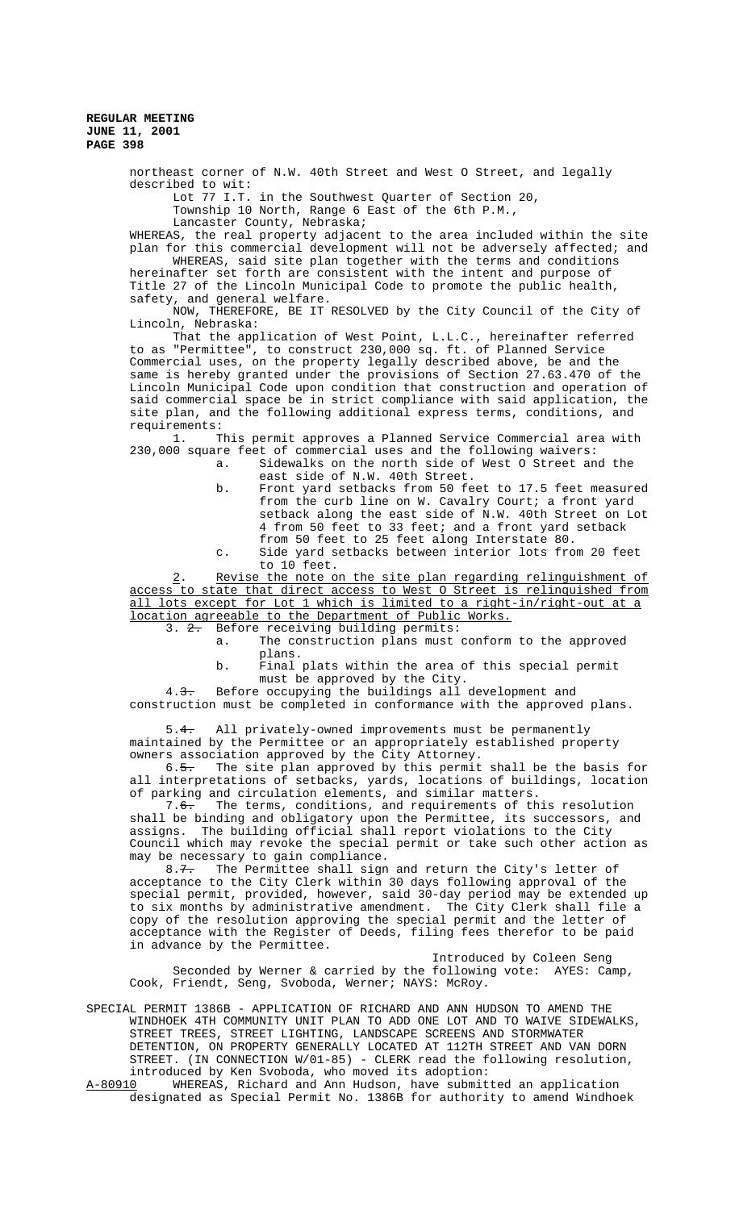northeast corner of N.W. 40th Street and West O Street, and legally described to wit:

Lot 77 I.T. in the Southwest Quarter of Section 20,

Township 10 North, Range 6 East of the 6th P.M.,

Lancaster County, Nebraska;

WHEREAS, the real property adjacent to the area included within the site plan for this commercial development will not be adversely affected; and WHEREAS, said site plan together with the terms and conditions

hereinafter set forth are consistent with the intent and purpose of Title 27 of the Lincoln Municipal Code to promote the public health, safety, and general welfare.

NOW, THEREFORE, BE IT RESOLVED by the City Council of the City of Lincoln, Nebraska:

That the application of West Point, L.L.C., hereinafter referred to as "Permittee", to construct 230,000 sq. ft. of Planned Service Commercial uses, on the property legally described above, be and the same is hereby granted under the provisions of Section 27.63.470 of the Lincoln Municipal Code upon condition that construction and operation of said commercial space be in strict compliance with said application, the site plan, and the following additional express terms, conditions, and requirements:<br>1. T

This permit approves a Planned Service Commercial area with 230,000 square feet of commercial uses and the following waivers:

- a. Sidewalks on the north side of West O Street and the east side of N.W. 40th Street.
- b. Front yard setbacks from 50 feet to 17.5 feet measured from the curb line on W. Cavalry Court; a front yard setback along the east side of N.W. 40th Street on Lot 4 from 50 feet to 33 feet; and a front yard setback from 50 feet to 25 feet along Interstate 80.
- c. Side yard setbacks between interior lots from 20 feet to 10 feet.

2. Revise the note on the site plan regarding relinguishment of access to state that direct access to West O Street is relinquished from all lots except for Lot 1 which is limited to a right-in/right-out at a location agreeable to the Department of Public Works.

- 3. 2. Before receiving building permits:
	- a. The construction plans must conform to the approved plans.
	- b. Final plats within the area of this special permit must be approved by the City.

4.3. Before occupying the buildings all development and construction must be completed in conformance with the approved plans.

5.4. All privately-owned improvements must be permanently maintained by the Permittee or an appropriately established property owners association approved by the City Attorney.

 6.5. The site plan approved by this permit shall be the basis for all interpretations of setbacks, yards, locations of buildings, location of parking and circulation elements, and similar matters.

 7.6. The terms, conditions, and requirements of this resolution shall be binding and obligatory upon the Permittee, its successors, and assigns. The building official shall report violations to the City Council which may revoke the special permit or take such other action as may be necessary to gain compliance.

8.7. The Permittee shall sign and return the City's letter of acceptance to the City Clerk within 30 days following approval of the special permit, provided, however, said 30-day period may be extended up to six months by administrative amendment. The City Clerk shall file a copy of the resolution approving the special permit and the letter of acceptance with the Register of Deeds, filing fees therefor to be paid in advance by the Permittee.

Introduced by Coleen Seng Seconded by Werner & carried by the following vote: AYES: Camp, Cook, Friendt, Seng, Svoboda, Werner; NAYS: McRoy.

SPECIAL PERMIT 1386B - APPLICATION OF RICHARD AND ANN HUDSON TO AMEND THE WINDHOEK 4TH COMMUNITY UNIT PLAN TO ADD ONE LOT AND TO WAIVE SIDEWALKS, STREET TREES, STREET LIGHTING, LANDSCAPE SCREENS AND STORMWATER DETENTION, ON PROPERTY GENERALLY LOCATED AT 112TH STREET AND VAN DORN STREET. (IN CONNECTION W/01-85) - CLERK read the following resolution, introduced by Ken Svoboda, who moved its adoption:<br>A-80910 WHEREAS, Richard and Ann Hudson, have submit

WHEREAS, Richard and Ann Hudson, have submitted an application designated as Special Permit No. 1386B for authority to amend Windhoek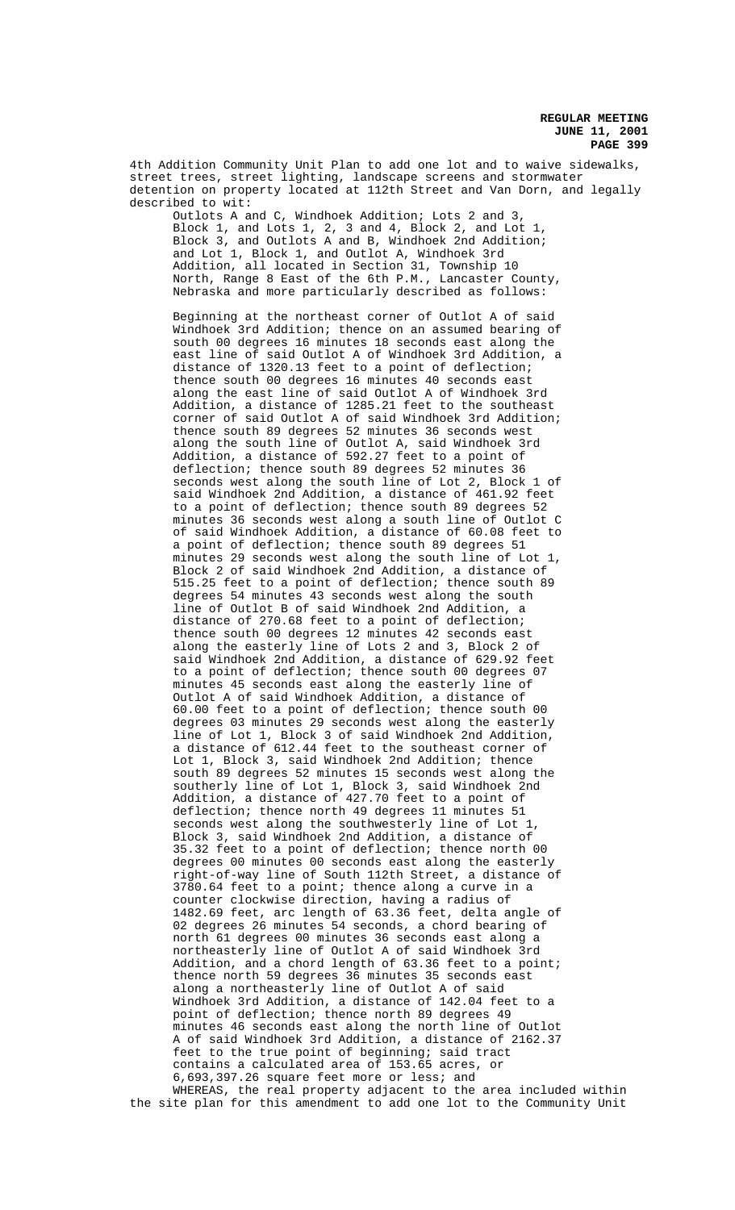4th Addition Community Unit Plan to add one lot and to waive sidewalks, street trees, street lighting, landscape screens and stormwater detention on property located at 112th Street and Van Dorn, and legally described to wit:

Outlots A and C, Windhoek Addition; Lots 2 and 3, Block 1, and Lots 1, 2, 3 and 4, Block 2, and Lot 1, Block 3, and Outlots A and B, Windhoek 2nd Addition; and Lot 1, Block 1, and Outlot A, Windhoek 3rd Addition, all located in Section 31, Township 10 North, Range 8 East of the 6th P.M., Lancaster County, Nebraska and more particularly described as follows:

Beginning at the northeast corner of Outlot A of said Windhoek 3rd Addition; thence on an assumed bearing of south 00 degrees 16 minutes 18 seconds east along the east line of said Outlot A of Windhoek 3rd Addition, a distance of 1320.13 feet to a point of deflection; thence south 00 degrees 16 minutes 40 seconds east along the east line of said Outlot A of Windhoek 3rd Addition, a distance of 1285.21 feet to the southeast corner of said Outlot A of said Windhoek 3rd Addition; thence south 89 degrees 52 minutes 36 seconds west along the south line of Outlot A, said Windhoek 3rd Addition, a distance of 592.27 feet to a point of deflection; thence south 89 degrees 52 minutes 36 seconds west along the south line of Lot 2, Block 1 of said Windhoek 2nd Addition, a distance of 461.92 feet to a point of deflection; thence south 89 degrees 52 minutes 36 seconds west along a south line of Outlot C of said Windhoek Addition, a distance of 60.08 feet to a point of deflection; thence south 89 degrees 51 minutes 29 seconds west along the south line of Lot 1, Block 2 of said Windhoek 2nd Addition, a distance of 515.25 feet to a point of deflection; thence south 89 degrees 54 minutes 43 seconds west along the south line of Outlot B of said Windhoek 2nd Addition, a distance of 270.68 feet to a point of deflection; thence south 00 degrees 12 minutes 42 seconds east along the easterly line of Lots 2 and 3, Block 2 of said Windhoek 2nd Addition, a distance of 629.92 feet to a point of deflection; thence south 00 degrees 07 minutes 45 seconds east along the easterly line of Outlot A of said Windhoek Addition, a distance of 60.00 feet to a point of deflection; thence south 00 degrees 03 minutes 29 seconds west along the easterly line of Lot 1, Block 3 of said Windhoek 2nd Addition, a distance of 612.44 feet to the southeast corner of Lot 1, Block 3, said Windhoek 2nd Addition; thence south 89 degrees 52 minutes 15 seconds west along the southerly line of Lot 1, Block 3, said Windhoek 2nd Addition, a distance of 427.70 feet to a point of deflection; thence north 49 degrees 11 minutes 51 seconds west along the southwesterly line of Lot 1, Block 3, said Windhoek 2nd Addition, a distance of 35.32 feet to a point of deflection; thence north 00 degrees 00 minutes 00 seconds east along the easterly right-of-way line of South 112th Street, a distance of 3780.64 feet to a point; thence along a curve in a counter clockwise direction, having a radius of 1482.69 feet, arc length of 63.36 feet, delta angle of 02 degrees 26 minutes 54 seconds, a chord bearing of north 61 degrees 00 minutes 36 seconds east along a northeasterly line of Outlot A of said Windhoek 3rd Addition, and a chord length of 63.36 feet to a point; thence north 59 degrees 36 minutes 35 seconds east along a northeasterly line of Outlot A of said Windhoek 3rd Addition, a distance of 142.04 feet to a point of deflection; thence north 89 degrees 49 minutes 46 seconds east along the north line of Outlot A of said Windhoek 3rd Addition, a distance of 2162.37 feet to the true point of beginning; said tract contains a calculated area of 153.65 acres, or 6,693,397.26 square feet more or less; and WHEREAS, the real property adjacent to the area included within the site plan for this amendment to add one lot to the Community Unit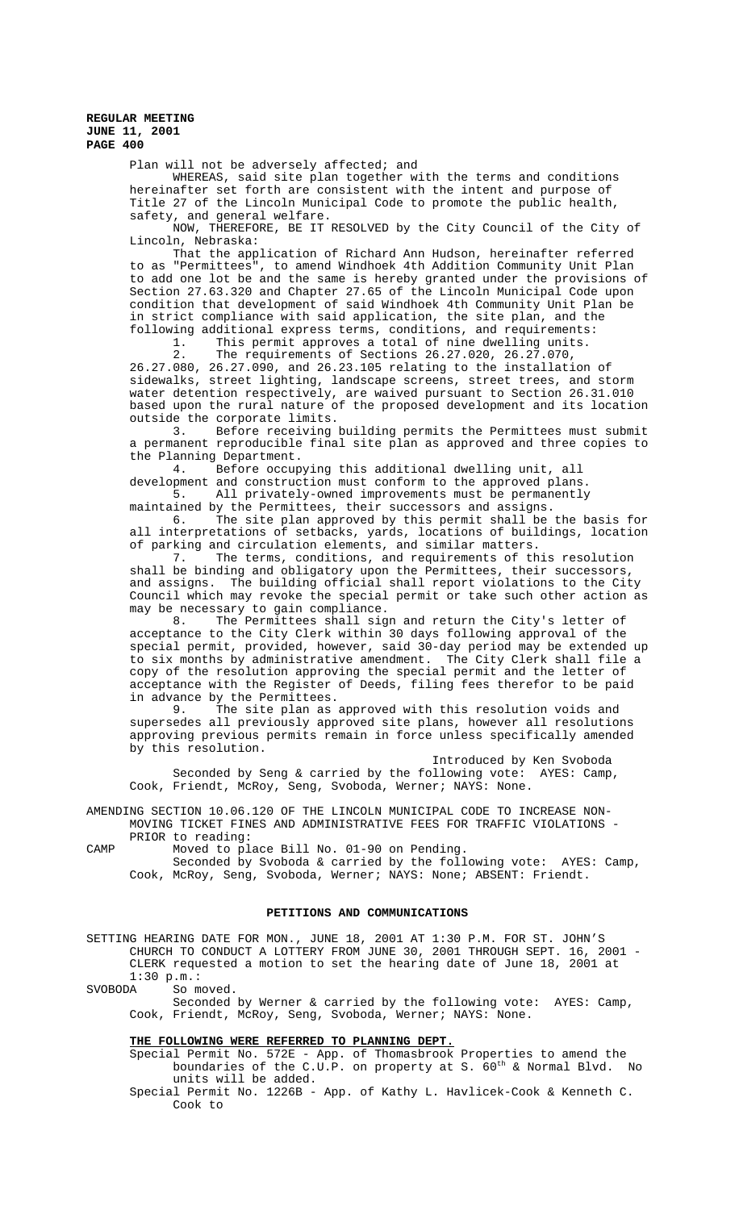Plan will not be adversely affected; and

WHEREAS, said site plan together with the terms and conditions hereinafter set forth are consistent with the intent and purpose of Title 27 of the Lincoln Municipal Code to promote the public health, safety, and general welfare.

NOW, THEREFORE, BE IT RESOLVED by the City Council of the City of Lincoln, Nebraska:

That the application of Richard Ann Hudson, hereinafter referred to as "Permittees", to amend Windhoek 4th Addition Community Unit Plan to add one lot be and the same is hereby granted under the provisions of Section 27.63.320 and Chapter 27.65 of the Lincoln Municipal Code upon condition that development of said Windhoek 4th Community Unit Plan be in strict compliance with said application, the site plan, and the following additional express terms, conditions, and requirements:

1. This permit approves a total of nine dwelling units.

2. The requirements of Sections 26.27.020, 26.27.070, 26.27.080, 26.27.090, and 26.23.105 relating to the installation of sidewalks, street lighting, landscape screens, street trees, and storm water detention respectively, are waived pursuant to Section 26.31.010 based upon the rural nature of the proposed development and its location outside the corporate limits.<br>3. Before receiving

Before receiving building permits the Permittees must submit a permanent reproducible final site plan as approved and three copies to the Planning Department.

4. Before occupying this additional dwelling unit, all development and construction must conform to the approved plans. 5. All privately-owned improvements must be permanently

maintained by the Permittees, their successors and assigns.

6. The site plan approved by this permit shall be the basis for all interpretations of setbacks, yards, locations of buildings, location of parking and circulation elements, and similar matters.

7. The terms, conditions, and requirements of this resolution shall be binding and obligatory upon the Permittees, their successors, and assigns. The building official shall report violations to the City Council which may revoke the special permit or take such other action as may be necessary to gain compliance.<br>8. The Permittees shall signed

The Permittees shall sign and return the City's letter of acceptance to the City Clerk within 30 days following approval of the special permit, provided, however, said 30-day period may be extended up to six months by administrative amendment. The City Clerk shall file a copy of the resolution approving the special permit and the letter of acceptance with the Register of Deeds, filing fees therefor to be paid in advance by the Permittees.<br>9. The site plan as a

The site plan as approved with this resolution voids and supersedes all previously approved site plans, however all resolutions approving previous permits remain in force unless specifically amended by this resolution.

Introduced by Ken Svoboda Seconded by Seng & carried by the following vote: AYES: Camp, Cook, Friendt, McRoy, Seng, Svoboda, Werner; NAYS: None.

AMENDING SECTION 10.06.120 OF THE LINCOLN MUNICIPAL CODE TO INCREASE NON-MOVING TICKET FINES AND ADMINISTRATIVE FEES FOR TRAFFIC VIOLATIONS - PRIOR to reading:

CAMP Moved to place Bill No. 01-90 on Pending.

Seconded by Svoboda & carried by the following vote: AYES: Camp, Cook, McRoy, Seng, Svoboda, Werner; NAYS: None; ABSENT: Friendt.

#### **PETITIONS AND COMMUNICATIONS**

SETTING HEARING DATE FOR MON., JUNE 18, 2001 AT 1:30 P.M. FOR ST. JOHN'S CHURCH TO CONDUCT A LOTTERY FROM JUNE 30, 2001 THROUGH SEPT. 16, 2001 - CLERK requested a motion to set the hearing date of June 18, 2001 at  $1:30 \text{ p.m.}:$ <br>SVOBODA Som

So moved.

Seconded by Werner & carried by the following vote: AYES: Camp, Cook, Friendt, McRoy, Seng, Svoboda, Werner; NAYS: None.

#### **THE FOLLOWING WERE REFERRED TO PLANNING DEPT.**

Special Permit No. 572E - App. of Thomasbrook Properties to amend the boundaries of the C.U.P. on property at S. 60<sup>th</sup> & Normal Blvd. No units will be added.

Special Permit No. 1226B - App. of Kathy L. Havlicek-Cook & Kenneth C. Cook to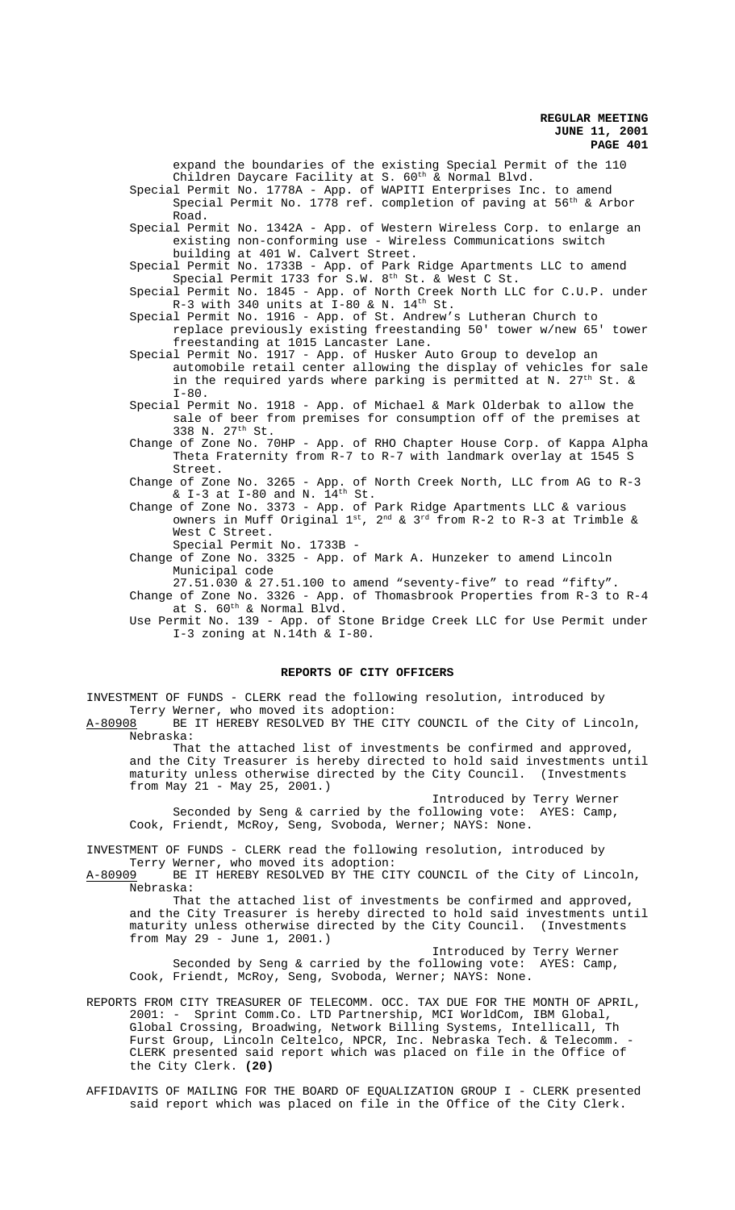expand the boundaries of the existing Special Permit of the 110 Children Daycare Facility at S. 60<sup>th</sup> & Normal Blvd.

Special Permit No. 1778A - App. of WAPITI Enterprises Inc. to amend Special Permit No. 1778 ref. completion of paving at 56<sup>th</sup> & Arbor Road.

Special Permit No. 1342A - App. of Western Wireless Corp. to enlarge an existing non-conforming use - Wireless Communications switch building at 401 W. Calvert Street.

Special Permit No. 1733B - App. of Park Ridge Apartments LLC to amend Special Permit 1733 for S.W. 8<sup>th</sup> St. & West C St.

Special Permit No. 1845 - App. of North Creek North LLC for C.U.P. under  $R-3$  with 340 units at I-80 & N. 14<sup>th</sup> St.

- Special Permit No. 1916 App. of St. Andrew's Lutheran Church to replace previously existing freestanding 50' tower w/new 65' tower freestanding at 1015 Lancaster Lane.
- Special Permit No. 1917 App. of Husker Auto Group to develop an automobile retail center allowing the display of vehicles for sale in the required yards where parking is permitted at N.  $27<sup>th</sup>$  St. &  $T-80$ .
- Special Permit No. 1918 App. of Michael & Mark Olderbak to allow the sale of beer from premises for consumption off of the premises at 338 N. 27th St.
- Change of Zone No. 70HP App. of RHO Chapter House Corp. of Kappa Alpha Theta Fraternity from R-7 to R-7 with landmark overlay at 1545 S Street.

Change of Zone No. 3265 - App. of North Creek North, LLC from AG to R-3 & I-3 at I-80 and N.  $14^{\text{th}}$  St.

Change of Zone No. 3373 - App. of Park Ridge Apartments LLC & various owners in Muff Original  $1^{st}$ ,  $2^{nd}$  &  $3^{rd}$  from R-2 to R-3 at Trimble & West C Street.

Special Permit No. 1733B -

Change of Zone No. 3325 - App. of Mark A. Hunzeker to amend Lincoln Municipal code

27.51.030 & 27.51.100 to amend "seventy-five" to read "fifty". Change of Zone No. 3326 - App. of Thomasbrook Properties from R-3 to R-4 at S.  $60^{\text{th}}$  & Normal Blvd.

Use Permit No. 139 - App. of Stone Bridge Creek LLC for Use Permit under I-3 zoning at N.14th & I-80.

#### **REPORTS OF CITY OFFICERS**

INVESTMENT OF FUNDS - CLERK read the following resolution, introduced by Terry Werner, who moved its adoption:

A-80908 BE IT HEREBY RESOLVED BY THE CITY COUNCIL of the City of Lincoln, Nebraska:

That the attached list of investments be confirmed and approved, and the City Treasurer is hereby directed to hold said investments until maturity unless otherwise directed by the City Council. (Investments from May 21 - May 25, 2001.)

Introduced by Terry Werner Seconded by Seng & carried by the following vote: AYES: Camp, Cook, Friendt, McRoy, Seng, Svoboda, Werner; NAYS: None.

INVESTMENT OF FUNDS - CLERK read the following resolution, introduced by Terry Werner, who moved its adoption:

A-80909 BE IT HEREBY RESOLVED BY THE CITY COUNCIL of the City of Lincoln, Nebraska:

That the attached list of investments be confirmed and approved, and the City Treasurer is hereby directed to hold said investments until maturity unless otherwise directed by the City Council. (Investments from May 29 - June 1, 2001.)

Introduced by Terry Werner Seconded by Seng & carried by the following vote: AYES: Camp, Cook, Friendt, McRoy, Seng, Svoboda, Werner; NAYS: None.

REPORTS FROM CITY TREASURER OF TELECOMM. OCC. TAX DUE FOR THE MONTH OF APRIL, 2001: - Sprint Comm.Co. LTD Partnership, MCI WorldCom, IBM Global, Global Crossing, Broadwing, Network Billing Systems, Intellicall, Th Furst Group, Lincoln Celtelco, NPCR, Inc. Nebraska Tech. & Telecomm. CLERK presented said report which was placed on file in the Office of the City Clerk. **(20)**

AFFIDAVITS OF MAILING FOR THE BOARD OF EQUALIZATION GROUP I - CLERK presented said report which was placed on file in the Office of the City Clerk.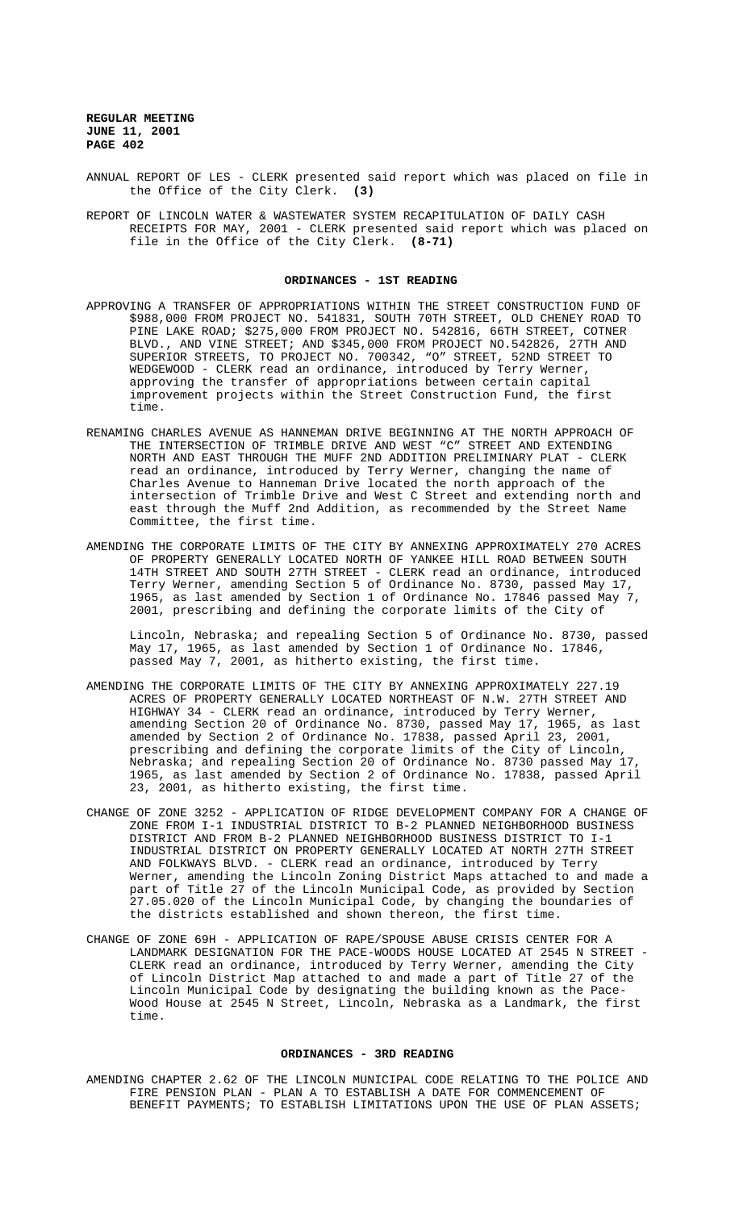- ANNUAL REPORT OF LES CLERK presented said report which was placed on file in the Office of the City Clerk. **(3)**
- REPORT OF LINCOLN WATER & WASTEWATER SYSTEM RECAPITULATION OF DAILY CASH RECEIPTS FOR MAY, 2001 - CLERK presented said report which was placed on file in the Office of the City Clerk. **(8-71)**

## **ORDINANCES - 1ST READING**

- APPROVING A TRANSFER OF APPROPRIATIONS WITHIN THE STREET CONSTRUCTION FUND OF \$988,000 FROM PROJECT NO. 541831, SOUTH 70TH STREET, OLD CHENEY ROAD TO PINE LAKE ROAD; \$275,000 FROM PROJECT NO. 542816, 66TH STREET, COTNER BLVD., AND VINE STREET; AND \$345,000 FROM PROJECT NO.542826, 27TH AND SUPERIOR STREETS, TO PROJECT NO. 700342, "O" STREET, 52ND STREET TO WEDGEWOOD - CLERK read an ordinance, introduced by Terry Werner, approving the transfer of appropriations between certain capital improvement projects within the Street Construction Fund, the first time.
- RENAMING CHARLES AVENUE AS HANNEMAN DRIVE BEGINNING AT THE NORTH APPROACH OF THE INTERSECTION OF TRIMBLE DRIVE AND WEST "C" STREET AND EXTENDING NORTH AND EAST THROUGH THE MUFF 2ND ADDITION PRELIMINARY PLAT - CLERK read an ordinance, introduced by Terry Werner, changing the name of Charles Avenue to Hanneman Drive located the north approach of the intersection of Trimble Drive and West C Street and extending north and east through the Muff 2nd Addition, as recommended by the Street Name Committee, the first time.
- AMENDING THE CORPORATE LIMITS OF THE CITY BY ANNEXING APPROXIMATELY 270 ACRES OF PROPERTY GENERALLY LOCATED NORTH OF YANKEE HILL ROAD BETWEEN SOUTH 14TH STREET AND SOUTH 27TH STREET - CLERK read an ordinance, introduced Terry Werner, amending Section 5 of Ordinance No. 8730, passed May 17, 1965, as last amended by Section 1 of Ordinance No. 17846 passed May 7, 2001, prescribing and defining the corporate limits of the City of

Lincoln, Nebraska; and repealing Section 5 of Ordinance No. 8730, passed May 17, 1965, as last amended by Section 1 of Ordinance No. 17846, passed May 7, 2001, as hitherto existing, the first time.

- AMENDING THE CORPORATE LIMITS OF THE CITY BY ANNEXING APPROXIMATELY 227.19 ACRES OF PROPERTY GENERALLY LOCATED NORTHEAST OF N.W. 27TH STREET AND HIGHWAY 34 - CLERK read an ordinance, introduced by Terry Werner, amending Section 20 of Ordinance No. 8730, passed May 17, 1965, as last amended by Section 2 of Ordinance No. 17838, passed April 23, 2001, prescribing and defining the corporate limits of the City of Lincoln, Nebraska; and repealing Section 20 of Ordinance No. 8730 passed May 17, 1965, as last amended by Section 2 of Ordinance No. 17838, passed April 23, 2001, as hitherto existing, the first time.
- CHANGE OF ZONE 3252 APPLICATION OF RIDGE DEVELOPMENT COMPANY FOR A CHANGE OF ZONE FROM I-1 INDUSTRIAL DISTRICT TO B-2 PLANNED NEIGHBORHOOD BUSINESS DISTRICT AND FROM B-2 PLANNED NEIGHBORHOOD BUSINESS DISTRICT TO I-1 INDUSTRIAL DISTRICT ON PROPERTY GENERALLY LOCATED AT NORTH 27TH STREET AND FOLKWAYS BLVD. - CLERK read an ordinance, introduced by Terry Werner, amending the Lincoln Zoning District Maps attached to and made a part of Title 27 of the Lincoln Municipal Code, as provided by Section 27.05.020 of the Lincoln Municipal Code, by changing the boundaries of the districts established and shown thereon, the first time.
- CHANGE OF ZONE 69H APPLICATION OF RAPE/SPOUSE ABUSE CRISIS CENTER FOR A LANDMARK DESIGNATION FOR THE PACE-WOODS HOUSE LOCATED AT 2545 N STREET - CLERK read an ordinance, introduced by Terry Werner, amending the City of Lincoln District Map attached to and made a part of Title 27 of the Lincoln Municipal Code by designating the building known as the Pace-Wood House at 2545 N Street, Lincoln, Nebraska as a Landmark, the first time.

### **ORDINANCES - 3RD READING**

AMENDING CHAPTER 2.62 OF THE LINCOLN MUNICIPAL CODE RELATING TO THE POLICE AND FIRE PENSION PLAN - PLAN A TO ESTABLISH A DATE FOR COMMENCEMENT OF BENEFIT PAYMENTS; TO ESTABLISH LIMITATIONS UPON THE USE OF PLAN ASSETS;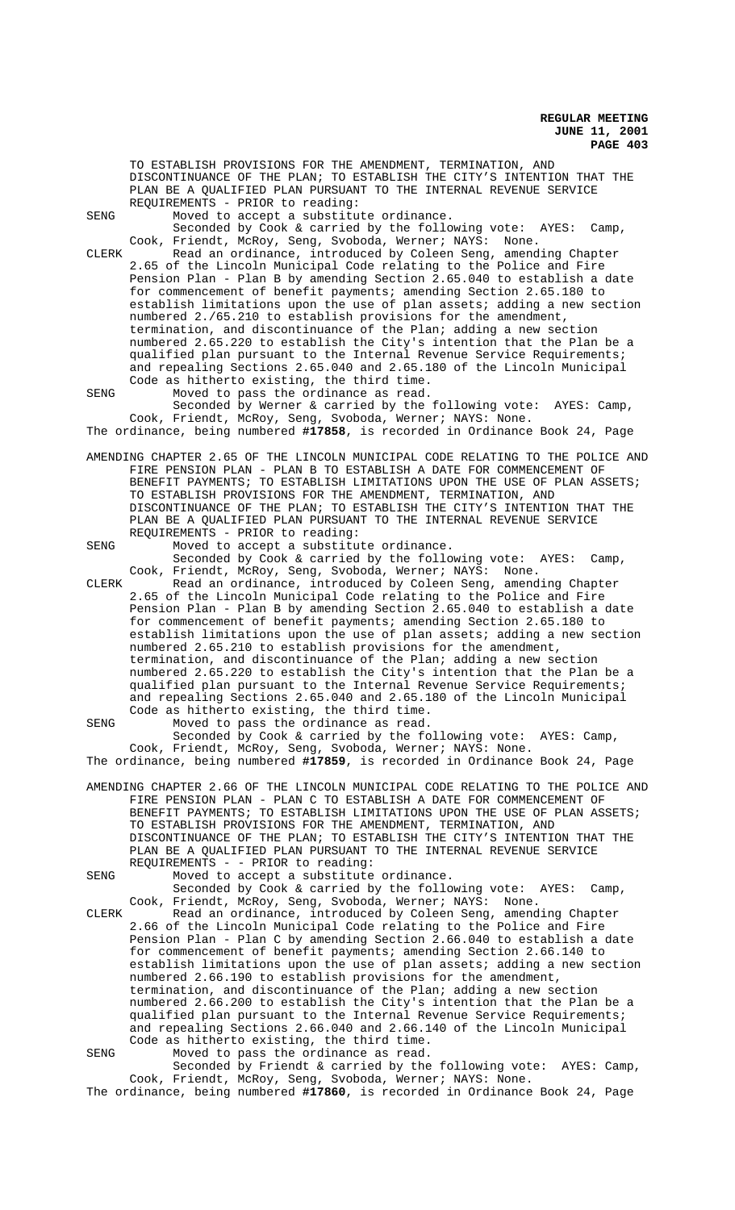TO ESTABLISH PROVISIONS FOR THE AMENDMENT, TERMINATION, AND DISCONTINUANCE OF THE PLAN; TO ESTABLISH THE CITY'S INTENTION THAT THE PLAN BE A QUALIFIED PLAN PURSUANT TO THE INTERNAL REVENUE SERVICE REQUIREMENTS - PRIOR to reading: SENG Moved to accept a substitute ordinance. Seconded by Cook & carried by the following vote: AYES: Camp, Cook, Friendt, McRoy, Seng, Svoboda, Werner; NAYS: None. CLERK Read an ordinance, introduced by Coleen Seng, amending Chapter 2.65 of the Lincoln Municipal Code relating to the Police and Fire Pension Plan - Plan B by amending Section 2.65.040 to establish a date for commencement of benefit payments; amending Section 2.65.180 to establish limitations upon the use of plan assets; adding a new section numbered 2./65.210 to establish provisions for the amendment, termination, and discontinuance of the Plan; adding a new section numbered 2.65.220 to establish the City's intention that the Plan be a qualified plan pursuant to the Internal Revenue Service Requirements; and repealing Sections 2.65.040 and 2.65.180 of the Lincoln Municipal Code as hitherto existing, the third time. SENG Moved to pass the ordinance as read. Seconded by Werner & carried by the following vote: AYES: Camp, Cook, Friendt, McRoy, Seng, Svoboda, Werner; NAYS: None. The ordinance, being numbered **#17858**, is recorded in Ordinance Book 24, Page AMENDING CHAPTER 2.65 OF THE LINCOLN MUNICIPAL CODE RELATING TO THE POLICE AND FIRE PENSION PLAN - PLAN B TO ESTABLISH A DATE FOR COMMENCEMENT OF BENEFIT PAYMENTS; TO ESTABLISH LIMITATIONS UPON THE USE OF PLAN ASSETS; TO ESTABLISH PROVISIONS FOR THE AMENDMENT, TERMINATION, AND DISCONTINUANCE OF THE PLAN; TO ESTABLISH THE CITY'S INTENTION THAT THE PLAN BE A QUALIFIED PLAN PURSUANT TO THE INTERNAL REVENUE SERVICE REQUIREMENTS - PRIOR to reading: SENG Moved to accept a substitute ordinance. Seconded by Cook & carried by the following vote: AYES: Camp, Cook, Friendt, McRoy, Seng, Svoboda, Werner; NAYS: None. CLERK Read an ordinance, introduced by Coleen Seng, amending Chapter 2.65 of the Lincoln Municipal Code relating to the Police and Fire Pension Plan - Plan B by amending Section 2.65.040 to establish a date for commencement of benefit payments; amending Section 2.65.180 to establish limitations upon the use of plan assets; adding a new section numbered 2.65.210 to establish provisions for the amendment, termination, and discontinuance of the Plan; adding a new section numbered 2.65.220 to establish the City's intention that the Plan be a qualified plan pursuant to the Internal Revenue Service Requirements; and repealing Sections 2.65.040 and 2.65.180 of the Lincoln Municipal Code as hitherto existing, the third time. SENG Moved to pass the ordinance as read. Seconded by Cook & carried by the following vote: AYES: Camp, Cook, Friendt, McRoy, Seng, Svoboda, Werner; NAYS: None. FIRE PENSION PLAN - PLAN C TO ESTABLISH A DATE FOR COMMENCEMENT OF BENEFIT PAYMENTS; TO ESTABLISH LIMITATIONS UPON THE USE OF PLAN ASSETS; TO ESTABLISH PROVISIONS FOR THE AMENDMENT, TERMINATION, AND DISCONTINUANCE OF THE PLAN; TO ESTABLISH THE CITY'S INTENTION THAT THE PLAN BE A QUALIFIED PLAN PURSUANT TO THE INTERNAL REVENUE SERVICE REQUIREMENTS - - PRIOR to reading: SENG Moved to accept a substitute ordinance. Seconded by Cook & carried by the following vote: AYES: Camp, Cook, Friendt, McRoy, Seng, Svoboda, Werner; NAYS: None. CLERK Read an ordinance, introduced by Coleen Seng, amending Chapter 2.66 of the Lincoln Municipal Code relating to the Police and Fire Pension Plan - Plan C by amending Section 2.66.040 to establish a date for commencement of benefit payments; amending Section 2.66.140 to establish limitations upon the use of plan assets; adding a new section numbered 2.66.190 to establish provisions for the amendment, termination, and discontinuance of the Plan; adding a new section numbered 2.66.200 to establish the City's intention that the Plan be a qualified plan pursuant to the Internal Revenue Service Requirements; and repealing Sections 2.66.040 and 2.66.140 of the Lincoln Municipal Code as hitherto existing, the third time. SENG Moved to pass the ordinance as read. Seconded by Friendt & carried by the following vote: AYES: Camp, Cook, Friendt, McRoy, Seng, Svoboda, Werner; NAYS: None. The ordinance, being numbered **#17860**, is recorded in Ordinance Book 24, Page

The ordinance, being numbered **#17859**, is recorded in Ordinance Book 24, Page

AMENDING CHAPTER 2.66 OF THE LINCOLN MUNICIPAL CODE RELATING TO THE POLICE AND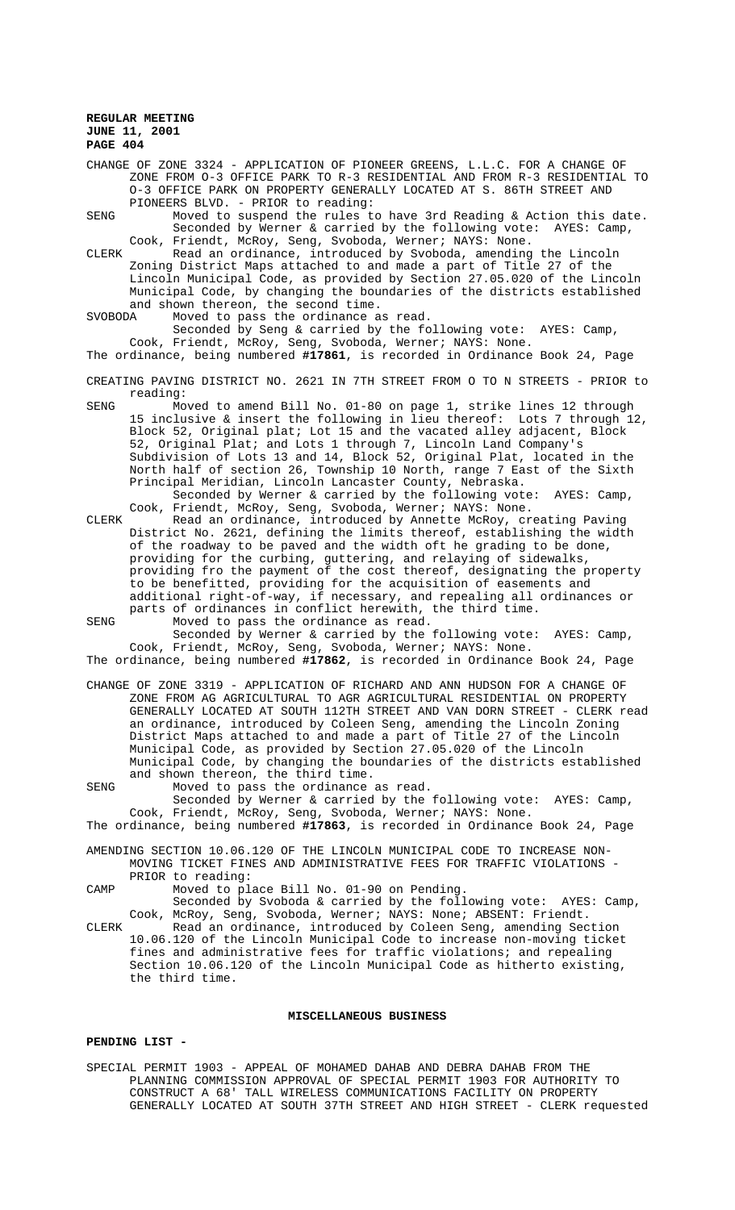CHANGE OF ZONE 3324 - APPLICATION OF PIONEER GREENS, L.L.C. FOR A CHANGE OF ZONE FROM O-3 OFFICE PARK TO R-3 RESIDENTIAL AND FROM R-3 RESIDENTIAL TO O-3 OFFICE PARK ON PROPERTY GENERALLY LOCATED AT S. 86TH STREET AND PIONEERS BLVD. - PRIOR to reading:

SENG Moved to suspend the rules to have 3rd Reading & Action this date. Seconded by Werner & carried by the following vote: AYES: Camp, Cook, Friendt, McRoy, Seng, Svoboda, Werner; NAYS: None.

CLERK Read an ordinance, introduced by Svoboda, amending the Lincoln Zoning District Maps attached to and made a part of Title 27 of the Lincoln Municipal Code, as provided by Section 27.05.020 of the Lincoln Municipal Code, by changing the boundaries of the districts established and shown thereon, the second time.

SVOBODA Moved to pass the ordinance as read.

Seconded by Seng & carried by the following vote: AYES: Camp, Cook, Friendt, McRoy, Seng, Svoboda, Werner; NAYS: None.

The ordinance, being numbered **#17861**, is recorded in Ordinance Book 24, Page

- CREATING PAVING DISTRICT NO. 2621 IN 7TH STREET FROM O TO N STREETS PRIOR to reading:
- SENG Moved to amend Bill No. 01-80 on page 1, strike lines 12 through 15 inclusive & insert the following in lieu thereof: Lots 7 through 12, Block 52, Original plat; Lot 15 and the vacated alley adjacent, Block 52, Original Plat; and Lots 1 through 7, Lincoln Land Company's Subdivision of Lots 13 and 14, Block 52, Original Plat, located in the North half of section 26, Township 10 North, range 7 East of the Sixth Principal Meridian, Lincoln Lancaster County, Nebraska.
	- Seconded by Werner & carried by the following vote: AYES: Camp, Cook, Friendt, McRoy, Seng, Svoboda, Werner; NAYS: None.
- CLERK Read an ordinance, introduced by Annette McRoy, creating Paving District No. 2621, defining the limits thereof, establishing the width of the roadway to be paved and the width oft he grading to be done, providing for the curbing, guttering, and relaying of sidewalks, providing fro the payment of the cost thereof, designating the property to be benefitted, providing for the acquisition of easements and additional right-of-way, if necessary, and repealing all ordinances or parts of ordinances in conflict herewith, the third time.
- SENG Moved to pass the ordinance as read. Seconded by Werner & carried by the following vote: AYES: Camp, Cook, Friendt, McRoy, Seng, Svoboda, Werner; NAYS: None.

The ordinance, being numbered **#17862**, is recorded in Ordinance Book 24, Page

- CHANGE OF ZONE 3319 APPLICATION OF RICHARD AND ANN HUDSON FOR A CHANGE OF ZONE FROM AG AGRICULTURAL TO AGR AGRICULTURAL RESIDENTIAL ON PROPERTY GENERALLY LOCATED AT SOUTH 112TH STREET AND VAN DORN STREET - CLERK read an ordinance, introduced by Coleen Seng, amending the Lincoln Zoning District Maps attached to and made a part of Title 27 of the Lincoln Municipal Code, as provided by Section 27.05.020 of the Lincoln Municipal Code, by changing the boundaries of the districts established and shown thereon, the third time.
- SENG Moved to pass the ordinance as read. Seconded by Werner & carried by the following vote: AYES: Camp, Cook, Friendt, McRoy, Seng, Svoboda, Werner; NAYS: None. The ordinance, being numbered **#17863**, is recorded in Ordinance Book 24, Page
- AMENDING SECTION 10.06.120 OF THE LINCOLN MUNICIPAL CODE TO INCREASE NON-MOVING TICKET FINES AND ADMINISTRATIVE FEES FOR TRAFFIC VIOLATIONS -
- PRIOR to reading:
- CAMP Moved to place Bill No. 01-90 on Pending.

Seconded by Svoboda & carried by the following vote: AYES: Camp, Cook, McRoy, Seng, Svoboda, Werner; NAYS: None; ABSENT: Friendt. CLERK Read an ordinance, introduced by Coleen Seng, amending Section

10.06.120 of the Lincoln Municipal Code to increase non-moving ticket fines and administrative fees for traffic violations; and repealing Section 10.06.120 of the Lincoln Municipal Code as hitherto existing, the third time.

#### **MISCELLANEOUS BUSINESS**

#### **PENDING LIST -**

SPECIAL PERMIT 1903 - APPEAL OF MOHAMED DAHAB AND DEBRA DAHAB FROM THE PLANNING COMMISSION APPROVAL OF SPECIAL PERMIT 1903 FOR AUTHORITY TO CONSTRUCT A 68' TALL WIRELESS COMMUNICATIONS FACILITY ON PROPERTY GENERALLY LOCATED AT SOUTH 37TH STREET AND HIGH STREET - CLERK requested